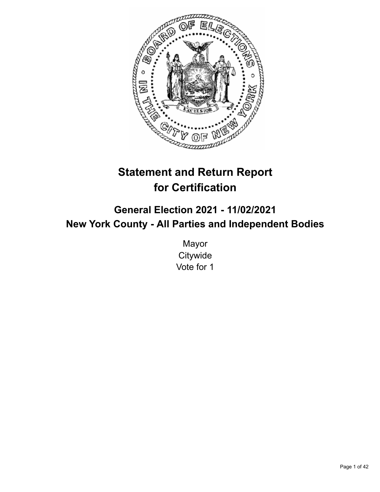

# **Statement and Return Report for Certification**

# **General Election 2021 - 11/02/2021 New York County - All Parties and Independent Bodies**

Mayor **Citywide** Vote for 1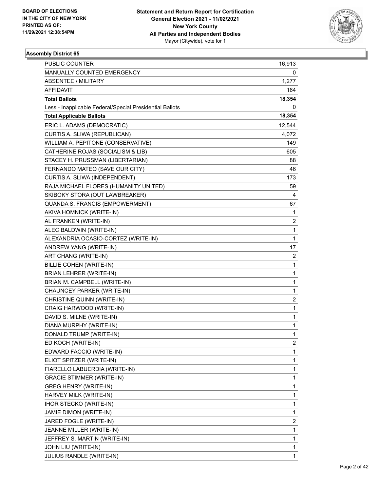

| <b>PUBLIC COUNTER</b>                                    | 16,913         |
|----------------------------------------------------------|----------------|
| MANUALLY COUNTED EMERGENCY                               | 0              |
| <b>ABSENTEE / MILITARY</b>                               | 1,277          |
| AFFIDAVIT                                                | 164            |
| <b>Total Ballots</b>                                     | 18,354         |
| Less - Inapplicable Federal/Special Presidential Ballots | 0              |
| <b>Total Applicable Ballots</b>                          | 18,354         |
| ERIC L. ADAMS (DEMOCRATIC)                               | 12,544         |
| CURTIS A. SLIWA (REPUBLICAN)                             | 4,072          |
| WILLIAM A. PEPITONE (CONSERVATIVE)                       | 149            |
| CATHERINE ROJAS (SOCIALISM & LIB)                        | 605            |
| STACEY H. PRUSSMAN (LIBERTARIAN)                         | 88             |
| FERNANDO MATEO (SAVE OUR CITY)                           | 46             |
| CURTIS A. SLIWA (INDEPENDENT)                            | 173            |
| RAJA MICHAEL FLORES (HUMANITY UNITED)                    | 59             |
| SKIBOKY STORA (OUT LAWBREAKER)                           | 4              |
| QUANDA S. FRANCIS (EMPOWERMENT)                          | 67             |
| AKIVA HOMNICK (WRITE-IN)                                 | 1              |
| AL FRANKEN (WRITE-IN)                                    | $\overline{c}$ |
| ALEC BALDWIN (WRITE-IN)                                  | 1              |
| ALEXANDRIA OCASIO-CORTEZ (WRITE-IN)                      | $\mathbf{1}$   |
| ANDREW YANG (WRITE-IN)                                   | 17             |
| ART CHANG (WRITE-IN)                                     | 2              |
| BILLIE COHEN (WRITE-IN)                                  | 1              |
| <b>BRIAN LEHRER (WRITE-IN)</b>                           | $\mathbf{1}$   |
| BRIAN M. CAMPBELL (WRITE-IN)                             | 1              |
| CHAUNCEY PARKER (WRITE-IN)                               | 1              |
| CHRISTINE QUINN (WRITE-IN)                               | 2              |
| CRAIG HARWOOD (WRITE-IN)                                 | 1              |
| DAVID S. MILNE (WRITE-IN)                                | 1              |
| DIANA MURPHY (WRITE-IN)                                  | $\mathbf{1}$   |
| DONALD TRUMP (WRITE-IN)                                  | $\mathbf{1}$   |
| ED KOCH (WRITE-IN)                                       | 2              |
| EDWARD FACCIO (WRITE-IN)                                 | 1              |
| ELIOT SPITZER (WRITE-IN)                                 | 1              |
| FIARELLO LABUERDIA (WRITE-IN)                            | 1              |
| <b>GRACIE STIMMER (WRITE-IN)</b>                         | 1              |
| <b>GREG HENRY (WRITE-IN)</b>                             | 1              |
| HARVEY MILK (WRITE-IN)                                   | 1              |
| <b>IHOR STECKO (WRITE-IN)</b>                            | 1              |
| JAMIE DIMON (WRITE-IN)                                   | 1              |
| JARED FOGLE (WRITE-IN)                                   | 2              |
| JEANNE MILLER (WRITE-IN)                                 | 1              |
| JEFFREY S. MARTIN (WRITE-IN)                             | 1              |
| JOHN LIU (WRITE-IN)                                      | 1              |
| JULIUS RANDLE (WRITE-IN)                                 | 1              |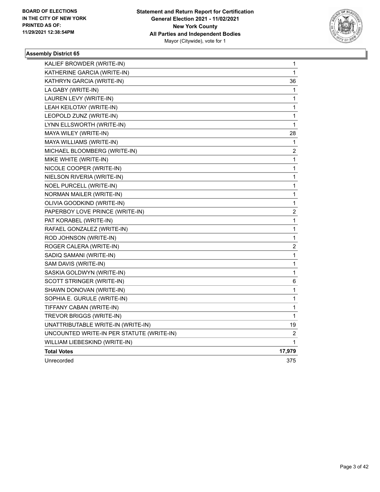

| KALIEF BROWDER (WRITE-IN)                 | 1                       |
|-------------------------------------------|-------------------------|
| KATHERINE GARCIA (WRITE-IN)               | 1                       |
| KATHRYN GARCIA (WRITE-IN)                 | 36                      |
| LA GABY (WRITE-IN)                        | 1                       |
| LAUREN LEVY (WRITE-IN)                    | 1                       |
| LEAH KEILOTAY (WRITE-IN)                  | 1                       |
| LEOPOLD ZUNZ (WRITE-IN)                   | 1                       |
| LYNN ELLSWORTH (WRITE-IN)                 | 1                       |
| MAYA WILEY (WRITE-IN)                     | 28                      |
| MAYA WILLIAMS (WRITE-IN)                  | 1                       |
| MICHAEL BLOOMBERG (WRITE-IN)              | $\overline{\mathbf{c}}$ |
| MIKE WHITE (WRITE-IN)                     | 1                       |
| NICOLE COOPER (WRITE-IN)                  | 1                       |
| NIELSON RIVERIA (WRITE-IN)                | 1                       |
| NOEL PURCELL (WRITE-IN)                   | 1                       |
| <b>NORMAN MAILER (WRITE-IN)</b>           | 1                       |
| OLIVIA GOODKIND (WRITE-IN)                | 1                       |
| PAPERBOY LOVE PRINCE (WRITE-IN)           | $\overline{\mathbf{c}}$ |
| PAT KORABEL (WRITE-IN)                    | $\mathbf{1}$            |
| RAFAEL GONZALEZ (WRITE-IN)                | 1                       |
| ROD JOHNSON (WRITE-IN)                    | $\mathbf 1$             |
| ROGER CALERA (WRITE-IN)                   | $\overline{\mathbf{c}}$ |
| SADIQ SAMANI (WRITE-IN)                   | $\mathbf{1}$            |
| SAM DAVIS (WRITE-IN)                      | 1                       |
| SASKIA GOLDWYN (WRITE-IN)                 | 1                       |
| SCOTT STRINGER (WRITE-IN)                 | 6                       |
| SHAWN DONOVAN (WRITE-IN)                  | 1                       |
| SOPHIA E. GURULE (WRITE-IN)               | 1                       |
| TIFFANY CABAN (WRITE-IN)                  | 1                       |
| TREVOR BRIGGS (WRITE-IN)                  | 1                       |
| UNATTRIBUTABLE WRITE-IN (WRITE-IN)        | 19                      |
| UNCOUNTED WRITE-IN PER STATUTE (WRITE-IN) | 2                       |
| WILLIAM LIEBESKIND (WRITE-IN)             | 1                       |
| <b>Total Votes</b>                        | 17,979                  |
| Unrecorded                                | 375                     |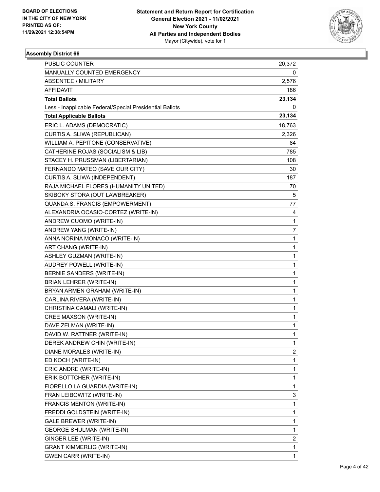

| PUBLIC COUNTER                                           | 20,372       |
|----------------------------------------------------------|--------------|
| MANUALLY COUNTED EMERGENCY                               | 0            |
| <b>ABSENTEE / MILITARY</b>                               | 2,576        |
| AFFIDAVIT                                                | 186          |
| <b>Total Ballots</b>                                     | 23,134       |
| Less - Inapplicable Federal/Special Presidential Ballots | 0            |
| <b>Total Applicable Ballots</b>                          | 23,134       |
| ERIC L. ADAMS (DEMOCRATIC)                               | 18,763       |
| CURTIS A. SLIWA (REPUBLICAN)                             | 2,326        |
| WILLIAM A. PEPITONE (CONSERVATIVE)                       | 84           |
| CATHERINE ROJAS (SOCIALISM & LIB)                        | 785          |
| STACEY H. PRUSSMAN (LIBERTARIAN)                         | 108          |
| FERNANDO MATEO (SAVE OUR CITY)                           | 30           |
| CURTIS A. SLIWA (INDEPENDENT)                            | 187          |
| RAJA MICHAEL FLORES (HUMANITY UNITED)                    | 70           |
| SKIBOKY STORA (OUT LAWBREAKER)                           | 5            |
| QUANDA S. FRANCIS (EMPOWERMENT)                          | 77           |
| ALEXANDRIA OCASIO-CORTEZ (WRITE-IN)                      | 4            |
| ANDREW CUOMO (WRITE-IN)                                  | $\mathbf{1}$ |
| ANDREW YANG (WRITE-IN)                                   | 7            |
| ANNA NORINA MONACO (WRITE-IN)                            | 1            |
| ART CHANG (WRITE-IN)                                     | 1            |
| ASHLEY GUZMAN (WRITE-IN)                                 | 1            |
| <b>AUDREY POWELL (WRITE-IN)</b>                          | 1            |
| BERNIE SANDERS (WRITE-IN)                                | 1            |
| <b>BRIAN LEHRER (WRITE-IN)</b>                           | 1            |
| BRYAN ARMEN GRAHAM (WRITE-IN)                            | 1            |
| CARLINA RIVERA (WRITE-IN)                                | 1            |
| CHRISTINA CAMALI (WRITE-IN)                              | 1            |
| CREE MAXSON (WRITE-IN)                                   | 1            |
| DAVE ZELMAN (WRITE-IN)                                   | 1            |
| DAVID W. RATTNER (WRITE-IN)                              | $\mathbf{1}$ |
| DEREK ANDREW CHIN (WRITE-IN)                             | 1            |
| DIANE MORALES (WRITE-IN)                                 | 2            |
| ED KOCH (WRITE-IN)                                       | 1            |
| ERIC ANDRE (WRITE-IN)                                    | 1            |
| ERIK BOTTCHER (WRITE-IN)                                 | 1            |
| FIORELLO LA GUARDIA (WRITE-IN)                           | 1            |
| FRAN LEIBOWITZ (WRITE-IN)                                | 3            |
| FRANCIS MENTON (WRITE-IN)                                | 1            |
| FREDDI GOLDSTEIN (WRITE-IN)                              | 1            |
| GALE BREWER (WRITE-IN)                                   | 1            |
| <b>GEORGE SHULMAN (WRITE-IN)</b>                         | 1            |
| GINGER LEE (WRITE-IN)                                    | 2            |
| <b>GRANT KIMMERLIG (WRITE-IN)</b>                        | 1            |
| <b>GWEN CARR (WRITE-IN)</b>                              | $\mathbf{1}$ |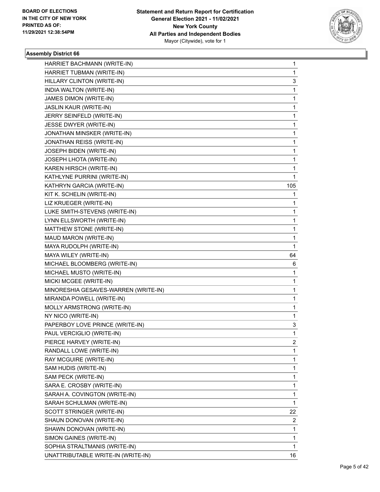

| HARRIET BACHMANN (WRITE-IN)          | 1   |
|--------------------------------------|-----|
| HARRIET TUBMAN (WRITE-IN)            | 1   |
| HILLARY CLINTON (WRITE-IN)           | 3   |
| INDIA WALTON (WRITE-IN)              | 1   |
| JAMES DIMON (WRITE-IN)               | 1   |
| JASLIN KAUR (WRITE-IN)               | 1   |
| JERRY SEINFELD (WRITE-IN)            | 1   |
| JESSE DWYER (WRITE-IN)               | 1   |
| JONATHAN MINSKER (WRITE-IN)          | 1   |
| JONATHAN REISS (WRITE-IN)            | 1   |
| JOSEPH BIDEN (WRITE-IN)              | 1   |
| JOSEPH LHOTA (WRITE-IN)              | 1   |
| KAREN HIRSCH (WRITE-IN)              | 1   |
| KATHLYNE PURRINI (WRITE-IN)          | 1   |
| KATHRYN GARCIA (WRITE-IN)            | 105 |
| KIT K. SCHELIN (WRITE-IN)            | 1   |
| LIZ KRUEGER (WRITE-IN)               | 1   |
| LUKE SMITH-STEVENS (WRITE-IN)        | 1   |
| LYNN ELLSWORTH (WRITE-IN)            | 1   |
| MATTHEW STONE (WRITE-IN)             | 1   |
| MAUD MARON (WRITE-IN)                | 1   |
| MAYA RUDOLPH (WRITE-IN)              | 1   |
| MAYA WILEY (WRITE-IN)                | 64  |
|                                      |     |
| MICHAEL BLOOMBERG (WRITE-IN)         | 6   |
| MICHAEL MUSTO (WRITE-IN)             | 1   |
| MICKI MCGEE (WRITE-IN)               | 1   |
| MINORESHIA GESAVES-WARREN (WRITE-IN) | 1   |
| MIRANDA POWELL (WRITE-IN)            | 1   |
| MOLLY ARMSTRONG (WRITE-IN)           | 1   |
| NY NICO (WRITE-IN)                   | 1   |
| PAPERBOY LOVE PRINCE (WRITE-IN)      | 3   |
| PAUL VERCIGLIO (WRITE-IN)            | 1   |
| PIERCE HARVEY (WRITE-IN)             | 2   |
| RANDALL LOWE (WRITE-IN)              | 1   |
| RAY MCGUIRE (WRITE-IN)               | 1   |
| SAM HUDIS (WRITE-IN)                 | 1   |
| SAM PECK (WRITE-IN)                  | 1   |
| SARA E. CROSBY (WRITE-IN)            | 1   |
| SARAH A. COVINGTON (WRITE-IN)        | 1   |
| SARAH SCHULMAN (WRITE-IN)            | 1   |
| SCOTT STRINGER (WRITE-IN)            | 22  |
| SHAUN DONOVAN (WRITE-IN)             | 2   |
| SHAWN DONOVAN (WRITE-IN)             | 1   |
| SIMON GAINES (WRITE-IN)              | 1   |
| SOPHIA STRALTMANIS (WRITE-IN)        | 1   |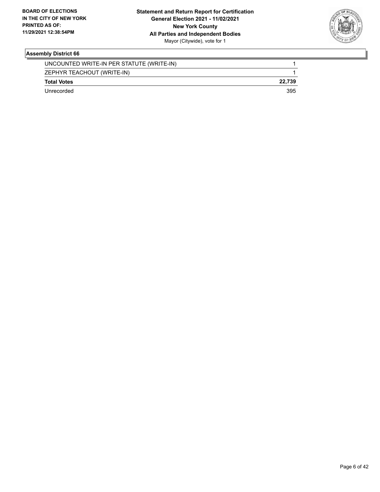

| UNCOUNTED WRITE-IN PER STATUTE (WRITE-IN) |        |
|-------------------------------------------|--------|
| ZEPHYR TEACHOUT (WRITE-IN)                |        |
| <b>Total Votes</b>                        | 22.739 |
| Unrecorded                                | 395    |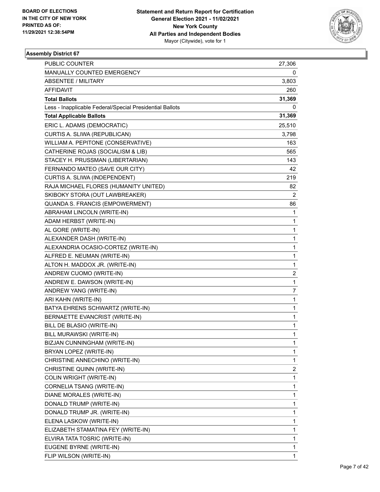

| PUBLIC COUNTER                                           | 27,306       |
|----------------------------------------------------------|--------------|
| MANUALLY COUNTED EMERGENCY                               | 0            |
| <b>ABSENTEE / MILITARY</b>                               | 3,803        |
| <b>AFFIDAVIT</b>                                         | 260          |
| <b>Total Ballots</b>                                     | 31,369       |
| Less - Inapplicable Federal/Special Presidential Ballots | 0            |
| <b>Total Applicable Ballots</b>                          | 31,369       |
| ERIC L. ADAMS (DEMOCRATIC)                               | 25,510       |
| CURTIS A. SLIWA (REPUBLICAN)                             | 3,798        |
| WILLIAM A. PEPITONE (CONSERVATIVE)                       | 163          |
| CATHERINE ROJAS (SOCIALISM & LIB)                        | 565          |
| STACEY H. PRUSSMAN (LIBERTARIAN)                         | 143          |
| FERNANDO MATEO (SAVE OUR CITY)                           | 42           |
| CURTIS A. SLIWA (INDEPENDENT)                            | 219          |
| RAJA MICHAEL FLORES (HUMANITY UNITED)                    | 82           |
| SKIBOKY STORA (OUT LAWBREAKER)                           | 2            |
| QUANDA S. FRANCIS (EMPOWERMENT)                          | 86           |
| ABRAHAM LINCOLN (WRITE-IN)                               | 1            |
| ADAM HERBST (WRITE-IN)                                   | 1            |
| AL GORE (WRITE-IN)                                       | 1            |
| ALEXANDER DASH (WRITE-IN)                                | 1            |
| ALEXANDRIA OCASIO-CORTEZ (WRITE-IN)                      | 1            |
| ALFRED E. NEUMAN (WRITE-IN)                              | 1            |
| ALTON H. MADDOX JR. (WRITE-IN)                           | 1            |
| ANDREW CUOMO (WRITE-IN)                                  | 2            |
| ANDREW E. DAWSON (WRITE-IN)                              | $\mathbf{1}$ |
| ANDREW YANG (WRITE-IN)                                   | 7            |
| ARI KAHN (WRITE-IN)                                      | 1            |
| BATYA EHRENS SCHWARTZ (WRITE-IN)                         | 1            |
| BERNAETTE EVANCRIST (WRITE-IN)                           | 1            |
| BILL DE BLASIO (WRITE-IN)                                | 1            |
| BILL MURAWSKI (WRITE-IN)                                 | $\mathbf{1}$ |
| BIZJAN CUNNINGHAM (WRITE-IN)                             | 1            |
| BRYAN LOPEZ (WRITE-IN)                                   | 1            |
| CHRISTINE ANNECHINO (WRITE-IN)                           | 1            |
| CHRISTINE QUINN (WRITE-IN)                               | 2            |
| COLIN WRIGHT (WRITE-IN)                                  | 1            |
| CORNELIA TSANG (WRITE-IN)                                | 1            |
| DIANE MORALES (WRITE-IN)                                 | 1            |
| DONALD TRUMP (WRITE-IN)                                  | 1            |
| DONALD TRUMP JR. (WRITE-IN)                              | 1            |
| ELENA LASKOW (WRITE-IN)                                  | 1            |
| ELIZABETH STAMATINA FEY (WRITE-IN)                       | 1            |
| ELVIRA TATA TOSRIC (WRITE-IN)                            | 1            |
| EUGENE BYRNE (WRITE-IN)                                  | 1            |
| FLIP WILSON (WRITE-IN)                                   | 1            |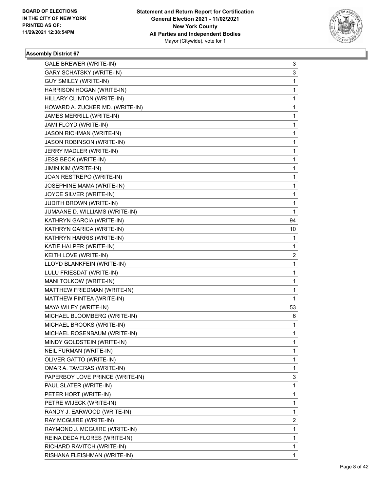

| GALE BREWER (WRITE-IN)          | 3  |
|---------------------------------|----|
| <b>GARY SCHATSKY (WRITE-IN)</b> | 3  |
| <b>GUY SMILEY (WRITE-IN)</b>    | 1  |
| HARRISON HOGAN (WRITE-IN)       | 1  |
| HILLARY CLINTON (WRITE-IN)      | 1  |
| HOWARD A. ZUCKER MD. (WRITE-IN) | 1  |
| JAMES MERRILL (WRITE-IN)        | 1  |
| JAMI FLOYD (WRITE-IN)           | 1  |
| <b>JASON RICHMAN (WRITE-IN)</b> | 1  |
| JASON ROBINSON (WRITE-IN)       | 1  |
| JERRY MADLER (WRITE-IN)         | 1  |
| JESS BECK (WRITE-IN)            | 1  |
| JIMIN KIM (WRITE-IN)            | 1  |
| JOAN RESTREPO (WRITE-IN)        | 1  |
| JOSEPHINE MAMA (WRITE-IN)       | 1  |
| JOYCE SILVER (WRITE-IN)         | 1  |
| <b>JUDITH BROWN (WRITE-IN)</b>  | 1  |
| JUMAANE D. WILLIAMS (WRITE-IN)  | 1  |
| KATHRYN GARCIA (WRITE-IN)       | 94 |
| KATHRYN GARICA (WRITE-IN)       | 10 |
| KATHRYN HARRIS (WRITE-IN)       | 1  |
| KATIE HALPER (WRITE-IN)         | 1  |
| KEITH LOVE (WRITE-IN)           | 2  |
| LLOYD BLANKFEIN (WRITE-IN)      | 1  |
| LULU FRIESDAT (WRITE-IN)        | 1  |
| MANI TOLKOW (WRITE-IN)          | 1  |
| MATTHEW FRIEDMAN (WRITE-IN)     | 1  |
| MATTHEW PINTEA (WRITE-IN)       | 1  |
| MAYA WILEY (WRITE-IN)           | 53 |
| MICHAEL BLOOMBERG (WRITE-IN)    | 6  |
| MICHAEL BROOKS (WRITE-IN)       | 1  |
| MICHAEL ROSENBAUM (WRITE-IN)    | 1  |
| MINDY GOLDSTEIN (WRITE-IN)      | 1  |
| NEIL FURMAN (WRITE-IN)          | 1  |
| OLIVER GATTO (WRITE-IN)         | 1  |
| OMAR A. TAVERAS (WRITE-IN)      | 1  |
| PAPERBOY LOVE PRINCE (WRITE-IN) | 3  |
| PAUL SLATER (WRITE-IN)          | 1  |
| PETER HORT (WRITE-IN)           | 1  |
| PETRE WIJECK (WRITE-IN)         | 1  |
| RANDY J. EARWOOD (WRITE-IN)     | 1  |
| RAY MCGUIRE (WRITE-IN)          | 2  |
| RAYMOND J. MCGUIRE (WRITE-IN)   | 1  |
| REINA DEDA FLORES (WRITE-IN)    | 1  |
| RICHARD RAVITCH (WRITE-IN)      | 1  |
| RISHANA FLEISHMAN (WRITE-IN)    | 1  |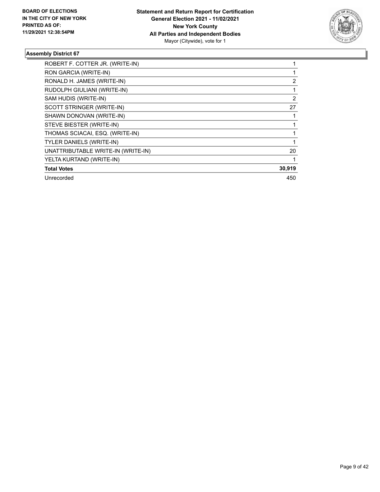

| ROBERT F. COTTER JR. (WRITE-IN)    |                |
|------------------------------------|----------------|
| RON GARCIA (WRITE-IN)              |                |
| RONALD H. JAMES (WRITE-IN)         | $\overline{2}$ |
| RUDOLPH GIULIANI (WRITE-IN)        |                |
| SAM HUDIS (WRITE-IN)               | 2              |
| SCOTT STRINGER (WRITE-IN)          | 27             |
| SHAWN DONOVAN (WRITE-IN)           |                |
| STEVE BIESTER (WRITE-IN)           |                |
| THOMAS SCIACAI, ESQ. (WRITE-IN)    |                |
| <b>TYLER DANIELS (WRITE-IN)</b>    |                |
| UNATTRIBUTABLE WRITE-IN (WRITE-IN) | 20             |
| YELTA KURTAND (WRITE-IN)           |                |
| <b>Total Votes</b>                 | 30,919         |
| Unrecorded                         | 450            |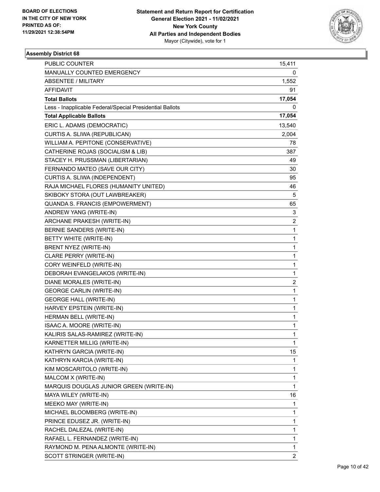

| <b>PUBLIC COUNTER</b>                                    | 15,411                  |
|----------------------------------------------------------|-------------------------|
| MANUALLY COUNTED EMERGENCY                               | 0                       |
| <b>ABSENTEE / MILITARY</b>                               | 1,552                   |
| AFFIDAVIT                                                | 91                      |
| <b>Total Ballots</b>                                     | 17,054                  |
| Less - Inapplicable Federal/Special Presidential Ballots | 0                       |
| <b>Total Applicable Ballots</b>                          | 17,054                  |
| ERIC L. ADAMS (DEMOCRATIC)                               | 13,540                  |
| CURTIS A. SLIWA (REPUBLICAN)                             | 2,004                   |
| WILLIAM A. PEPITONE (CONSERVATIVE)                       | 78                      |
| CATHERINE ROJAS (SOCIALISM & LIB)                        | 387                     |
| STACEY H. PRUSSMAN (LIBERTARIAN)                         | 49                      |
| FERNANDO MATEO (SAVE OUR CITY)                           | 30                      |
| CURTIS A. SLIWA (INDEPENDENT)                            | 95                      |
| RAJA MICHAEL FLORES (HUMANITY UNITED)                    | 46                      |
| SKIBOKY STORA (OUT LAWBREAKER)                           | 5                       |
| QUANDA S. FRANCIS (EMPOWERMENT)                          | 65                      |
| ANDREW YANG (WRITE-IN)                                   | 3                       |
| ARCHANE PRAKESH (WRITE-IN)                               | 2                       |
| BERNIE SANDERS (WRITE-IN)                                | 1                       |
| BETTY WHITE (WRITE-IN)                                   | 1                       |
| BRENT NYEZ (WRITE-IN)                                    | 1                       |
| CLARE PERRY (WRITE-IN)                                   | 1                       |
| CORY WEINFELD (WRITE-IN)                                 | 1                       |
| DEBORAH EVANGELAKOS (WRITE-IN)                           | 1                       |
| DIANE MORALES (WRITE-IN)                                 | $\overline{\mathbf{c}}$ |
| <b>GEORGE CARLIN (WRITE-IN)</b>                          | 1                       |
| <b>GEORGE HALL (WRITE-IN)</b>                            | 1                       |
| HARVEY EPSTEIN (WRITE-IN)                                | 1                       |
| HERMAN BELL (WRITE-IN)                                   | 1                       |
| ISAAC A. MOORE (WRITE-IN)                                | 1                       |
| KALIRIS SALAS-RAMIREZ (WRITE-IN)                         | $\mathbf{1}$            |
| KARNETTER MILLIG (WRITE-IN)                              | 1                       |
| KATHRYN GARCIA (WRITE-IN)                                | 15                      |
| KATHRYN KARCIA (WRITE-IN)                                | 1                       |
| KIM MOSCARITOLO (WRITE-IN)                               | 1                       |
| MALCOM X (WRITE-IN)                                      | 1                       |
| MARQUIS DOUGLAS JUNIOR GREEN (WRITE-IN)                  | $\mathbf{1}$            |
| MAYA WILEY (WRITE-IN)                                    | 16                      |
| MEEKO MAY (WRITE-IN)                                     | 1                       |
| MICHAEL BLOOMBERG (WRITE-IN)                             | 1                       |
| PRINCE EDUSEZ JR. (WRITE-IN)                             | 1                       |
| RACHEL DALEZAL (WRITE-IN)                                | 1                       |
| RAFAEL L. FERNANDEZ (WRITE-IN)                           | 1                       |
| RAYMOND M. PENA ALMONTE (WRITE-IN)                       | 1                       |
| SCOTT STRINGER (WRITE-IN)                                | $\overline{2}$          |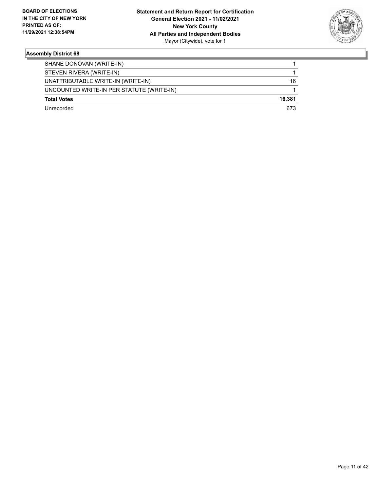

| SHANE DONOVAN (WRITE-IN)                  |        |
|-------------------------------------------|--------|
| STEVEN RIVERA (WRITE-IN)                  |        |
| UNATTRIBUTABLE WRITE-IN (WRITE-IN)        | 16     |
| UNCOUNTED WRITE-IN PER STATUTE (WRITE-IN) |        |
| <b>Total Votes</b>                        | 16.381 |
| l Inrecorded                              | 673    |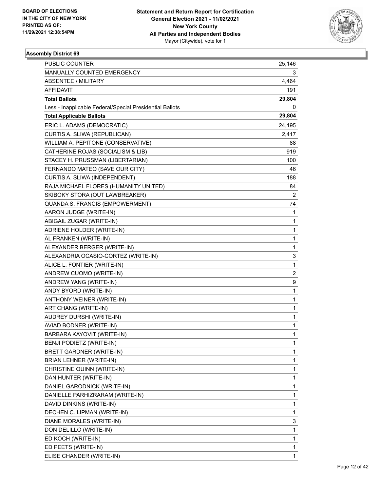

| PUBLIC COUNTER                                           | 25,146         |
|----------------------------------------------------------|----------------|
| MANUALLY COUNTED EMERGENCY                               | 3              |
| <b>ABSENTEE / MILITARY</b>                               | 4,464          |
| AFFIDAVIT                                                | 191            |
| <b>Total Ballots</b>                                     | 29,804         |
| Less - Inapplicable Federal/Special Presidential Ballots | 0              |
| <b>Total Applicable Ballots</b>                          | 29,804         |
| ERIC L. ADAMS (DEMOCRATIC)                               | 24,195         |
| CURTIS A. SLIWA (REPUBLICAN)                             | 2,417          |
| WILLIAM A. PEPITONE (CONSERVATIVE)                       | 88             |
| CATHERINE ROJAS (SOCIALISM & LIB)                        | 919            |
| STACEY H. PRUSSMAN (LIBERTARIAN)                         | 100            |
| FERNANDO MATEO (SAVE OUR CITY)                           | 46             |
| CURTIS A. SLIWA (INDEPENDENT)                            | 188            |
| RAJA MICHAEL FLORES (HUMANITY UNITED)                    | 84             |
| SKIBOKY STORA (OUT LAWBREAKER)                           | $\overline{2}$ |
| QUANDA S. FRANCIS (EMPOWERMENT)                          | 74             |
| AARON JUDGE (WRITE-IN)                                   | 1              |
| ABIGAIL ZUGAR (WRITE-IN)                                 | 1              |
| ADRIENE HOLDER (WRITE-IN)                                | 1              |
| AL FRANKEN (WRITE-IN)                                    | 1              |
| ALEXANDER BERGER (WRITE-IN)                              | 1              |
| ALEXANDRIA OCASIO-CORTEZ (WRITE-IN)                      | 3              |
| ALICE L. FONTIER (WRITE-IN)                              | 1              |
| ANDREW CUOMO (WRITE-IN)                                  | $\overline{c}$ |
| ANDREW YANG (WRITE-IN)                                   | 9              |
| ANDY BYORD (WRITE-IN)                                    | 1              |
| ANTHONY WEINER (WRITE-IN)                                | 1              |
| ART CHANG (WRITE-IN)                                     | 1              |
| AUDREY DURSHI (WRITE-IN)                                 | 1              |
| AVIAD BODNER (WRITE-IN)                                  | $\mathbf{1}$   |
| BARBARA KAYOVIT (WRITE-IN)                               | $\mathbf{1}$   |
| BENJI PODIETZ (WRITE-IN)                                 | 1              |
| <b>BRETT GARDNER (WRITE-IN)</b>                          | 1              |
| BRIAN LEHNER (WRITE-IN)                                  | 1              |
| CHRISTINE QUINN (WRITE-IN)                               | 1              |
| DAN HUNTER (WRITE-IN)                                    | 1              |
| DANIEL GARODNICK (WRITE-IN)                              | 1              |
| DANIELLE PARHIZRARAM (WRITE-IN)                          | 1              |
| DAVID DINKINS (WRITE-IN)                                 | 1              |
| DECHEN C. LIPMAN (WRITE-IN)                              | 1              |
| DIANE MORALES (WRITE-IN)                                 | 3              |
| DON DELILLO (WRITE-IN)                                   | 1              |
| ED KOCH (WRITE-IN)                                       | 1              |
| ED PEETS (WRITE-IN)                                      | 1              |
| ELISE CHANDER (WRITE-IN)                                 | 1              |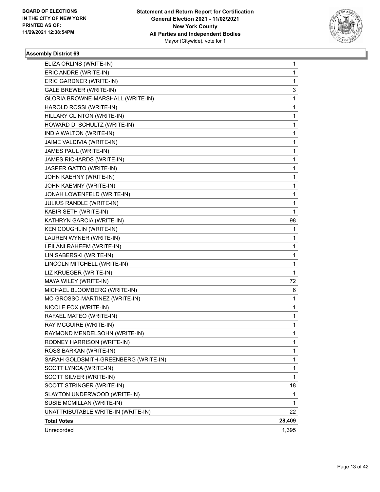

| ELIZA ORLINS (WRITE-IN)              | 1      |
|--------------------------------------|--------|
| ERIC ANDRE (WRITE-IN)                | 1      |
| ERIC GARDNER (WRITE-IN)              | 1      |
| <b>GALE BREWER (WRITE-IN)</b>        | 3      |
| GLORIA BROWNE-MARSHALL (WRITE-IN)    | 1      |
| HAROLD ROSSI (WRITE-IN)              | 1      |
| HILLARY CLINTON (WRITE-IN)           | 1      |
| HOWARD D. SCHULTZ (WRITE-IN)         | 1      |
| INDIA WALTON (WRITE-IN)              | 1      |
| JAIME VALDIVIA (WRITE-IN)            | 1      |
| JAMES PAUL (WRITE-IN)                | 1      |
| JAMES RICHARDS (WRITE-IN)            | 1      |
| JASPER GATTO (WRITE-IN)              | 1      |
| JOHN KAEHNY (WRITE-IN)               | 1      |
| JOHN KAEMNY (WRITE-IN)               | 1      |
| JONAH LOWENFELD (WRITE-IN)           | 1      |
| JULIUS RANDLE (WRITE-IN)             | 1      |
| KABIR SETH (WRITE-IN)                | 1      |
| KATHRYN GARCIA (WRITE-IN)            | 98     |
| <b>KEN COUGHLIN (WRITE-IN)</b>       | 1      |
| LAUREN WYNER (WRITE-IN)              | 1      |
| LEILANI RAHEEM (WRITE-IN)            | 1      |
| LIN SABERSKI (WRITE-IN)              | 1      |
| LINCOLN MITCHELL (WRITE-IN)          | 1      |
| LIZ KRUEGER (WRITE-IN)               | 1      |
| MAYA WILEY (WRITE-IN)                | 72     |
| MICHAEL BLOOMBERG (WRITE-IN)         | 6      |
| MO GROSSO-MARTINEZ (WRITE-IN)        | 1      |
| NICOLE FOX (WRITE-IN)                | 1      |
| RAFAEL MATEO (WRITE-IN)              | 1      |
| RAY MCGUIRE (WRITE-IN)               | 1      |
| RAYMOND MENDELSOHN (WRITE-IN)        | 1      |
| RODNEY HARRISON (WRITE-IN)           | 1      |
| ROSS BARKAN (WRITE-IN)               | 1      |
| SARAH GOLDSMITH-GREENBERG (WRITE-IN) | 1      |
| SCOTT LYNCA (WRITE-IN)               | 1      |
| SCOTT SILVER (WRITE-IN)              | 1      |
| SCOTT STRINGER (WRITE-IN)            | 18     |
| SLAYTON UNDERWOOD (WRITE-IN)         | 1      |
| SUSIE MCMILLAN (WRITE-IN)            | 1      |
| UNATTRIBUTABLE WRITE-IN (WRITE-IN)   | 22     |
| <b>Total Votes</b>                   | 28,409 |
| Unrecorded                           | 1,395  |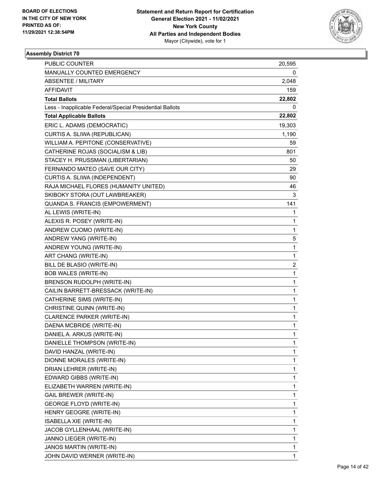

| PUBLIC COUNTER                                           | 20,595       |
|----------------------------------------------------------|--------------|
| MANUALLY COUNTED EMERGENCY                               | 0            |
| <b>ABSENTEE / MILITARY</b>                               | 2,048        |
| AFFIDAVIT                                                | 159          |
| <b>Total Ballots</b>                                     | 22,802       |
| Less - Inapplicable Federal/Special Presidential Ballots | 0            |
| <b>Total Applicable Ballots</b>                          | 22,802       |
| ERIC L. ADAMS (DEMOCRATIC)                               | 19,303       |
| CURTIS A. SLIWA (REPUBLICAN)                             | 1,190        |
| WILLIAM A. PEPITONE (CONSERVATIVE)                       | 59           |
| CATHERINE ROJAS (SOCIALISM & LIB)                        | 801          |
| STACEY H. PRUSSMAN (LIBERTARIAN)                         | 50           |
| FERNANDO MATEO (SAVE OUR CITY)                           | 29           |
| CURTIS A. SLIWA (INDEPENDENT)                            | 90           |
| RAJA MICHAEL FLORES (HUMANITY UNITED)                    | 46           |
| SKIBOKY STORA (OUT LAWBREAKER)                           | 3            |
| QUANDA S. FRANCIS (EMPOWERMENT)                          | 141          |
| AL LEWIS (WRITE-IN)                                      | 1            |
| ALEXIS R. POSEY (WRITE-IN)                               | $\mathbf{1}$ |
| ANDREW CUOMO (WRITE-IN)                                  | $\mathbf{1}$ |
| ANDREW YANG (WRITE-IN)                                   | 5            |
| ANDREW YOUNG (WRITE-IN)                                  | $\mathbf{1}$ |
| ART CHANG (WRITE-IN)                                     | $\mathbf{1}$ |
| BILL DE BLASIO (WRITE-IN)                                | 2            |
| <b>BOB WALES (WRITE-IN)</b>                              | $\mathbf{1}$ |
| BRENSON RUDOLPH (WRITE-IN)                               | $\mathbf{1}$ |
| CAILIN BARRETT-BRESSACK (WRITE-IN)                       | 1            |
| CATHERINE SIMS (WRITE-IN)                                | $\mathbf{1}$ |
| CHRISTINE QUINN (WRITE-IN)                               | $\mathbf{1}$ |
| CLARENCE PARKER (WRITE-IN)                               | 1            |
| DAENA MCBRIDE (WRITE-IN)                                 | $\mathbf{1}$ |
| DANIEL A. ARKUS (WRITE-IN)                               | $\mathbf{1}$ |
| DANIELLE THOMPSON (WRITE-IN)                             | 1            |
| DAVID HANZAL (WRITE-IN)                                  | 1            |
| DIONNE MORALES (WRITE-IN)                                | $\mathbf{1}$ |
| DRIAN LEHRER (WRITE-IN)                                  | $\mathbf{1}$ |
| EDWARD GIBBS (WRITE-IN)                                  | $\mathbf{1}$ |
| ELIZABETH WARREN (WRITE-IN)                              | $\mathbf{1}$ |
| <b>GAIL BREWER (WRITE-IN)</b>                            | $\mathbf{1}$ |
| <b>GEORGE FLOYD (WRITE-IN)</b>                           | $\mathbf{1}$ |
| HENRY GEOGRE (WRITE-IN)                                  | $\mathbf{1}$ |
| ISABELLA XIE (WRITE-IN)                                  | 1            |
| JACOB GYLLENHAAL (WRITE-IN)                              | $\mathbf{1}$ |
| JANNO LIEGER (WRITE-IN)                                  | $\mathbf{1}$ |
| JANOS MARTIN (WRITE-IN)                                  | 1            |
| JOHN DAVID WERNER (WRITE-IN)                             | $\mathbf{1}$ |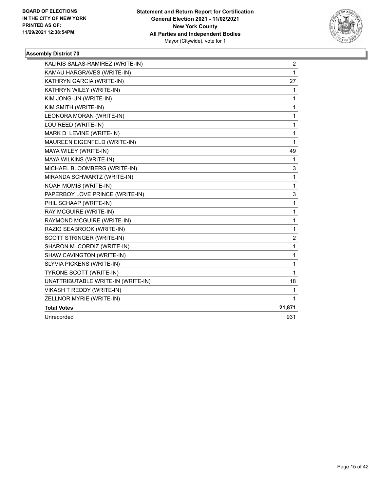

| KALIRIS SALAS-RAMIREZ (WRITE-IN)   | 2              |
|------------------------------------|----------------|
| KAMAU HARGRAVES (WRITE-IN)         | $\mathbf{1}$   |
| KATHRYN GARCIA (WRITE-IN)          | 27             |
| KATHRYN WILEY (WRITE-IN)           | $\mathbf{1}$   |
| KIM JONG-UN (WRITE-IN)             | 1              |
| KIM SMITH (WRITE-IN)               | 1              |
| LEONORA MORAN (WRITE-IN)           | 1              |
| LOU REED (WRITE-IN)                | 1              |
| MARK D. LEVINE (WRITE-IN)          | 1              |
| MAUREEN EIGENFELD (WRITE-IN)       | $\mathbf{1}$   |
| MAYA WILEY (WRITE-IN)              | 49             |
| MAYA WILKINS (WRITE-IN)            | 1              |
| MICHAEL BLOOMBERG (WRITE-IN)       | 3              |
| MIRANDA SCHWARTZ (WRITE-IN)        | 1              |
| NOAH MOMIS (WRITE-IN)              | $\mathbf{1}$   |
| PAPERBOY LOVE PRINCE (WRITE-IN)    | 3              |
| PHIL SCHAAP (WRITE-IN)             | 1              |
| RAY MCGUIRE (WRITE-IN)             | 1              |
| RAYMOND MCGUIRE (WRITE-IN)         | $\mathbf{1}$   |
| RAZIQ SEABROOK (WRITE-IN)          | 1              |
| SCOTT STRINGER (WRITE-IN)          | $\overline{c}$ |
| SHARON M. CORDIZ (WRITE-IN)        | 1              |
| SHAW CAVINGTON (WRITE-IN)          | $\mathbf{1}$   |
| SLYVIA PICKENS (WRITE-IN)          | $\mathbf{1}$   |
| TYRONE SCOTT (WRITE-IN)            | 1              |
| UNATTRIBUTABLE WRITE-IN (WRITE-IN) | 18             |
| <b>VIKASH T REDDY (WRITE-IN)</b>   | 1              |
| ZELLNOR MYRIE (WRITE-IN)           | $\mathbf{1}$   |
| <b>Total Votes</b>                 | 21,871         |
| Unrecorded                         | 931            |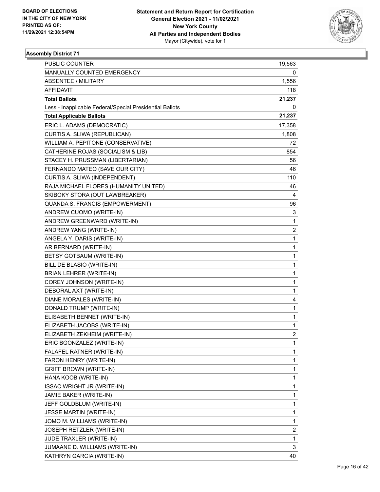

| PUBLIC COUNTER                                           | 19,563                  |
|----------------------------------------------------------|-------------------------|
| MANUALLY COUNTED EMERGENCY                               | 0                       |
| <b>ABSENTEE / MILITARY</b>                               | 1,556                   |
| AFFIDAVIT                                                | 118                     |
| <b>Total Ballots</b>                                     | 21,237                  |
| Less - Inapplicable Federal/Special Presidential Ballots | 0                       |
| <b>Total Applicable Ballots</b>                          | 21,237                  |
| ERIC L. ADAMS (DEMOCRATIC)                               | 17,358                  |
| CURTIS A. SLIWA (REPUBLICAN)                             | 1,808                   |
| WILLIAM A. PEPITONE (CONSERVATIVE)                       | 72                      |
| CATHERINE ROJAS (SOCIALISM & LIB)                        | 854                     |
| STACEY H. PRUSSMAN (LIBERTARIAN)                         | 56                      |
| FERNANDO MATEO (SAVE OUR CITY)                           | 46                      |
| CURTIS A. SLIWA (INDEPENDENT)                            | 110                     |
| RAJA MICHAEL FLORES (HUMANITY UNITED)                    | 46                      |
| SKIBOKY STORA (OUT LAWBREAKER)                           | 4                       |
| QUANDA S. FRANCIS (EMPOWERMENT)                          | 96                      |
| ANDREW CUOMO (WRITE-IN)                                  | 3                       |
| ANDREW GREENWARD (WRITE-IN)                              | 1                       |
| ANDREW YANG (WRITE-IN)                                   | $\overline{\mathbf{c}}$ |
| ANGELA Y. DARIS (WRITE-IN)                               | 1                       |
| AR BERNARD (WRITE-IN)                                    | 1                       |
| BETSY GOTBAUM (WRITE-IN)                                 | 1                       |
| BILL DE BLASIO (WRITE-IN)                                | 1                       |
| BRIAN LEHRER (WRITE-IN)                                  | $\mathbf{1}$            |
| COREY JOHNSON (WRITE-IN)                                 | 1                       |
| DEBORAL AXT (WRITE-IN)                                   | 1                       |
| DIANE MORALES (WRITE-IN)                                 | 4                       |
| DONALD TRUMP (WRITE-IN)                                  | 1                       |
| ELISABETH BENNET (WRITE-IN)                              | 1                       |
| ELIZABETH JACOBS (WRITE-IN)                              | 1                       |
| ELIZABETH ZEKHEIM (WRITE-IN)                             | $\overline{c}$          |
| ERIC BGONZALEZ (WRITE-IN)                                | 1                       |
| FALAFEL RATNER (WRITE-IN)                                | 1                       |
| FARON HENRY (WRITE-IN)                                   | 1                       |
| <b>GRIFF BROWN (WRITE-IN)</b>                            | 1                       |
| HANA KOOB (WRITE-IN)                                     | 1                       |
| ISSAC WRIGHT JR (WRITE-IN)                               | 1                       |
| JAMIE BAKER (WRITE-IN)                                   | 1                       |
| JEFF GOLDBLUM (WRITE-IN)                                 | 1                       |
| JESSE MARTIN (WRITE-IN)                                  | 1                       |
| JOMO M. WILLIAMS (WRITE-IN)                              | 1                       |
| JOSEPH RETZLER (WRITE-IN)                                | $\overline{\mathbf{c}}$ |
| JUDE TRAXLER (WRITE-IN)                                  | 1                       |
| JUMAANE D. WILLIAMS (WRITE-IN)                           | 3                       |
| KATHRYN GARCIA (WRITE-IN)                                | 40                      |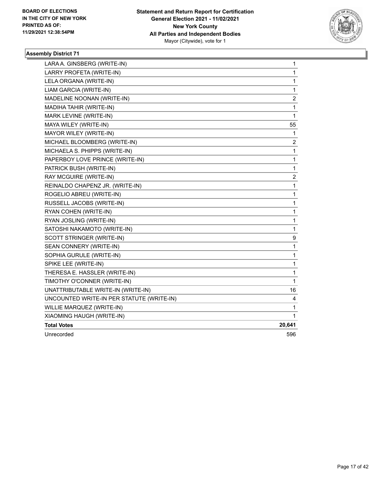

| LARA A. GINSBERG (WRITE-IN)               | 1                       |
|-------------------------------------------|-------------------------|
| LARRY PROFETA (WRITE-IN)                  | 1                       |
| LELA ORGANA (WRITE-IN)                    | 1                       |
| LIAM GARCIA (WRITE-IN)                    | 1                       |
| MADELINE NOONAN (WRITE-IN)                | $\overline{\mathbf{c}}$ |
| MADIHA TAHIR (WRITE-IN)                   | 1                       |
| MARK LEVINE (WRITE-IN)                    | 1                       |
| MAYA WILEY (WRITE-IN)                     | 55                      |
| MAYOR WILEY (WRITE-IN)                    | 1                       |
| MICHAEL BLOOMBERG (WRITE-IN)              | 2                       |
| MICHAELA S. PHIPPS (WRITE-IN)             | 1                       |
| PAPERBOY LOVE PRINCE (WRITE-IN)           | 1                       |
| PATRICK BUSH (WRITE-IN)                   | 1                       |
| RAY MCGUIRE (WRITE-IN)                    | $\overline{c}$          |
| REINALDO CHAPENZ JR. (WRITE-IN)           | 1                       |
| ROGELIO ABREU (WRITE-IN)                  | 1                       |
| RUSSELL JACOBS (WRITE-IN)                 | 1                       |
| RYAN COHEN (WRITE-IN)                     | 1                       |
| RYAN JOSLING (WRITE-IN)                   | 1                       |
| SATOSHI NAKAMOTO (WRITE-IN)               | $\mathbf{1}$            |
| SCOTT STRINGER (WRITE-IN)                 | 9                       |
| SEAN CONNERY (WRITE-IN)                   | 1                       |
| SOPHIA GURULE (WRITE-IN)                  | 1                       |
| SPIKE LEE (WRITE-IN)                      | 1                       |
| THERESA E. HASSLER (WRITE-IN)             | 1                       |
| TIMOTHY O'CONNER (WRITE-IN)               | $\mathbf{1}$            |
| UNATTRIBUTABLE WRITE-IN (WRITE-IN)        | 16                      |
| UNCOUNTED WRITE-IN PER STATUTE (WRITE-IN) | 4                       |
| WILLIE MARQUEZ (WRITE-IN)                 | 1                       |
| XIAOMING HAUGH (WRITE-IN)                 | 1                       |
| <b>Total Votes</b>                        | 20,641                  |
| Unrecorded                                | 596                     |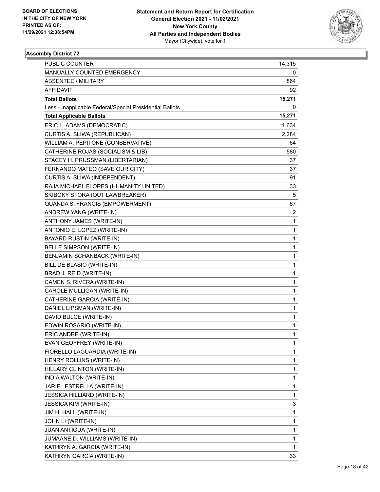

| <b>PUBLIC COUNTER</b>                                    | 14,315         |
|----------------------------------------------------------|----------------|
| MANUALLY COUNTED EMERGENCY                               | 0              |
| <b>ABSENTEE / MILITARY</b>                               | 864            |
| AFFIDAVIT                                                | 92             |
| <b>Total Ballots</b>                                     | 15,271         |
| Less - Inapplicable Federal/Special Presidential Ballots | 0              |
| <b>Total Applicable Ballots</b>                          | 15,271         |
| ERIC L. ADAMS (DEMOCRATIC)                               | 11,634         |
| CURTIS A. SLIWA (REPUBLICAN)                             | 2,284          |
| WILLIAM A. PEPITONE (CONSERVATIVE)                       | 64             |
| CATHERINE ROJAS (SOCIALISM & LIB)                        | 580            |
| STACEY H. PRUSSMAN (LIBERTARIAN)                         | 37             |
| FERNANDO MATEO (SAVE OUR CITY)                           | 37             |
| CURTIS A. SLIWA (INDEPENDENT)                            | 91             |
| RAJA MICHAEL FLORES (HUMANITY UNITED)                    | 33             |
| SKIBOKY STORA (OUT LAWBREAKER)                           | 5              |
| QUANDA S. FRANCIS (EMPOWERMENT)                          | 67             |
| ANDREW YANG (WRITE-IN)                                   | $\overline{2}$ |
| ANTHONY JAMES (WRITE-IN)                                 | 1              |
| ANTONIO E. LOPEZ (WRITE-IN)                              | 1              |
| <b>BAYARD RUSTIN (WRITE-IN)</b>                          | 1              |
| <b>BELLE SIMPSON (WRITE-IN)</b>                          | 1              |
| BENJAMIN SCHANBACK (WRITE-IN)                            | 1              |
| BILL DE BLASIO (WRITE-IN)                                | 1              |
| BRAD J. REID (WRITE-IN)                                  | 1              |
| CAMEN S. RIVERA (WRITE-IN)                               | 1              |
| CAROLE MULLIGAN (WRITE-IN)                               | 1              |
| CATHERINE GARCIA (WRITE-IN)                              | 1              |
| DANIEL LIPSMAN (WRITE-IN)                                | 1              |
| DAVID BULCE (WRITE-IN)                                   | 1              |
| EDWIN ROSARIO (WRITE-IN)                                 | 1              |
| ERIC ANDRE (WRITE-IN)                                    | $\mathbf{1}$   |
| EVAN GEOFFREY (WRITE-IN)                                 | 1              |
| FIORELLO LAGUARDIA (WRITE-IN)                            | 1              |
| HENRY ROLLINS (WRITE-IN)                                 | 1              |
| HILLARY CLINTON (WRITE-IN)                               | 1              |
| INDIA WALTON (WRITE-IN)                                  | 1              |
| JARIEL ESTRELLA (WRITE-IN)                               | 1              |
| <b>JESSICA HILLIARD (WRITE-IN)</b>                       | 1              |
| <b>JESSICA KIM (WRITE-IN)</b>                            | 3              |
| JIM H. HALL (WRITE-IN)                                   | 1              |
| JOHN LI (WRITE-IN)                                       | 1              |
| JUAN ANTIGUA (WRITE-IN)                                  | 1              |
| JUMAANE D. WILLIAMS (WRITE-IN)                           | 1              |
| KATHRYN A. GARCIA (WRITE-IN)                             | 1              |
| KATHRYN GARCIA (WRITE-IN)                                | 33             |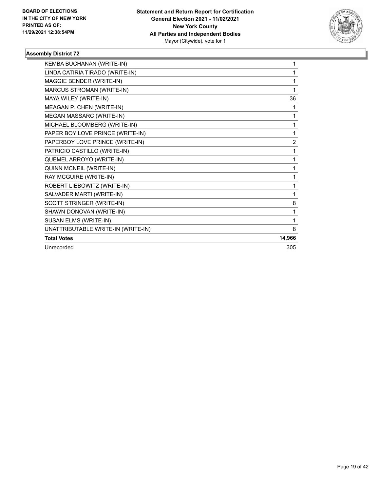

| KEMBA BUCHANAN (WRITE-IN)          | 1              |
|------------------------------------|----------------|
| LINDA CATIRIA TIRADO (WRITE-IN)    | 1              |
| MAGGIE BENDER (WRITE-IN)           | 1              |
| MARCUS STROMAN (WRITE-IN)          | 1              |
| MAYA WILEY (WRITE-IN)              | 36             |
| MEAGAN P. CHEN (WRITE-IN)          | 1              |
| MEGAN MASSARC (WRITE-IN)           | 1              |
| MICHAEL BLOOMBERG (WRITE-IN)       | 1              |
| PAPER BOY LOVE PRINCE (WRITE-IN)   | 1              |
| PAPERBOY LOVE PRINCE (WRITE-IN)    | $\overline{2}$ |
| PATRICIO CASTILLO (WRITE-IN)       | 1              |
| QUEMEL ARROYO (WRITE-IN)           | 1              |
| QUINN MCNEIL (WRITE-IN)            | 1              |
| RAY MCGUIRE (WRITE-IN)             | 1              |
| ROBERT LIEBOWITZ (WRITE-IN)        | 1              |
| SALVADER MARTI (WRITE-IN)          | 1              |
| SCOTT STRINGER (WRITE-IN)          | 8              |
| SHAWN DONOVAN (WRITE-IN)           | 1              |
| SUSAN ELMS (WRITE-IN)              | 1              |
| UNATTRIBUTABLE WRITE-IN (WRITE-IN) | 8              |
| <b>Total Votes</b>                 | 14,966         |
| Unrecorded                         | 305            |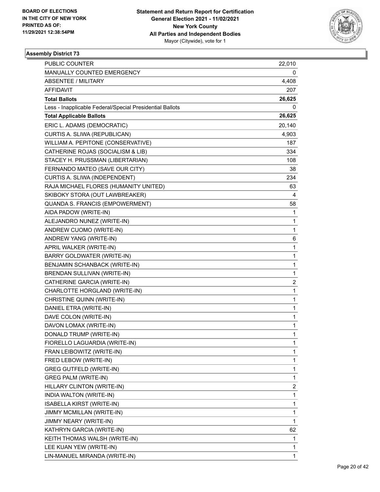

| PUBLIC COUNTER                                           | 22,010                  |
|----------------------------------------------------------|-------------------------|
| MANUALLY COUNTED EMERGENCY                               | 0                       |
| <b>ABSENTEE / MILITARY</b>                               | 4,408                   |
| AFFIDAVIT                                                | 207                     |
| <b>Total Ballots</b>                                     | 26,625                  |
| Less - Inapplicable Federal/Special Presidential Ballots | 0                       |
| <b>Total Applicable Ballots</b>                          | 26,625                  |
| ERIC L. ADAMS (DEMOCRATIC)                               | 20,140                  |
| CURTIS A. SLIWA (REPUBLICAN)                             | 4,903                   |
| WILLIAM A. PEPITONE (CONSERVATIVE)                       | 187                     |
| CATHERINE ROJAS (SOCIALISM & LIB)                        | 334                     |
| STACEY H. PRUSSMAN (LIBERTARIAN)                         | 108                     |
| FERNANDO MATEO (SAVE OUR CITY)                           | 38                      |
| CURTIS A. SLIWA (INDEPENDENT)                            | 234                     |
| RAJA MICHAEL FLORES (HUMANITY UNITED)                    | 63                      |
| SKIBOKY STORA (OUT LAWBREAKER)                           | 4                       |
| QUANDA S. FRANCIS (EMPOWERMENT)                          | 58                      |
| AIDA PADOW (WRITE-IN)                                    | 1                       |
| ALEJANDRO NUNEZ (WRITE-IN)                               | 1                       |
| ANDREW CUOMO (WRITE-IN)                                  | 1                       |
| ANDREW YANG (WRITE-IN)                                   | 6                       |
| APRIL WALKER (WRITE-IN)                                  | 1                       |
| BARRY GOLDWATER (WRITE-IN)                               | 1                       |
| BENJAMIN SCHANBACK (WRITE-IN)                            | 1                       |
| BRENDAN SULLIVAN (WRITE-IN)                              | 1                       |
| CATHERINE GARCIA (WRITE-IN)                              | $\overline{\mathbf{c}}$ |
| CHARLOTTE HORGLAND (WRITE-IN)                            | 1                       |
| CHRISTINE QUINN (WRITE-IN)                               | 1                       |
| DANIEL ETRA (WRITE-IN)                                   | 1                       |
| DAVE COLON (WRITE-IN)                                    | 1                       |
| DAVON LOMAX (WRITE-IN)                                   | 1                       |
| DONALD TRUMP (WRITE-IN)                                  | $\mathbf{1}$            |
| FIORELLO LAGUARDIA (WRITE-IN)                            | 1                       |
| FRAN LEIBOWITZ (WRITE-IN)                                | 1                       |
| FRED LEBOW (WRITE-IN)                                    | 1                       |
| <b>GREG GUTFELD (WRITE-IN)</b>                           | 1                       |
| GREG PALM (WRITE-IN)                                     | 1                       |
| HILLARY CLINTON (WRITE-IN)                               | $\overline{\mathbf{c}}$ |
| INDIA WALTON (WRITE-IN)                                  | 1                       |
| ISABELLA KIRST (WRITE-IN)                                | 1                       |
| JIMMY MCMILLAN (WRITE-IN)                                | 1                       |
| JIMMY NEARY (WRITE-IN)                                   | 1                       |
| KATHRYN GARCIA (WRITE-IN)                                | 62                      |
| KEITH THOMAS WALSH (WRITE-IN)                            | $\mathbf{1}$            |
| LEE KUAN YEW (WRITE-IN)                                  | 1                       |
| LIN-MANUEL MIRANDA (WRITE-IN)                            | 1                       |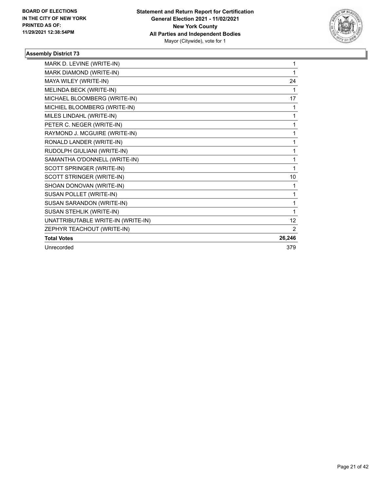

| MARK D. LEVINE (WRITE-IN)          | 1      |
|------------------------------------|--------|
| MARK DIAMOND (WRITE-IN)            | 1      |
| MAYA WILEY (WRITE-IN)              | 24     |
| MELINDA BECK (WRITE-IN)            | 1      |
| MICHAEL BLOOMBERG (WRITE-IN)       | 17     |
| MICHIEL BLOOMBERG (WRITE-IN)       | 1      |
| MILES LINDAHL (WRITE-IN)           | 1      |
| PETER C. NEGER (WRITE-IN)          | 1      |
| RAYMOND J. MCGUIRE (WRITE-IN)      | 1      |
| RONALD LANDER (WRITE-IN)           | 1      |
| RUDOLPH GIULIANI (WRITE-IN)        | 1      |
| SAMANTHA O'DONNELL (WRITE-IN)      | 1      |
| SCOTT SPRINGER (WRITE-IN)          | 1      |
| SCOTT STRINGER (WRITE-IN)          | 10     |
| SHOAN DONOVAN (WRITE-IN)           | 1      |
| SUSAN POLLET (WRITE-IN)            | 1      |
| SUSAN SARANDON (WRITE-IN)          | 1      |
| SUSAN STEHLIK (WRITE-IN)           | 1      |
| UNATTRIBUTABLE WRITE-IN (WRITE-IN) | 12     |
| ZEPHYR TEACHOUT (WRITE-IN)         | 2      |
| <b>Total Votes</b>                 | 26,246 |
| Unrecorded                         | 379    |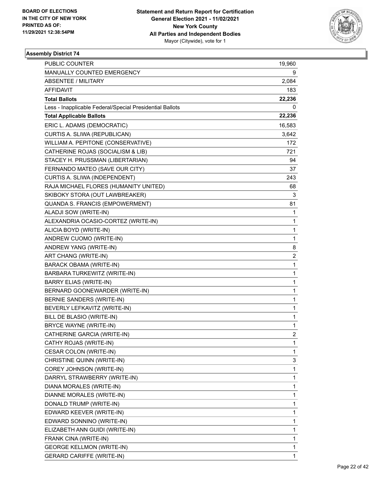

| PUBLIC COUNTER                                           | 19,960         |
|----------------------------------------------------------|----------------|
| MANUALLY COUNTED EMERGENCY                               | 9              |
| <b>ABSENTEE / MILITARY</b>                               | 2,084          |
| AFFIDAVIT                                                | 183            |
| <b>Total Ballots</b>                                     | 22,236         |
| Less - Inapplicable Federal/Special Presidential Ballots | 0              |
| <b>Total Applicable Ballots</b>                          | 22,236         |
| ERIC L. ADAMS (DEMOCRATIC)                               | 16,583         |
| CURTIS A. SLIWA (REPUBLICAN)                             | 3,642          |
| WILLIAM A. PEPITONE (CONSERVATIVE)                       | 172            |
| CATHERINE ROJAS (SOCIALISM & LIB)                        | 721            |
| STACEY H. PRUSSMAN (LIBERTARIAN)                         | 94             |
| FERNANDO MATEO (SAVE OUR CITY)                           | 37             |
| CURTIS A. SLIWA (INDEPENDENT)                            | 243            |
| RAJA MICHAEL FLORES (HUMANITY UNITED)                    | 68             |
| SKIBOKY STORA (OUT LAWBREAKER)                           | 3              |
| QUANDA S. FRANCIS (EMPOWERMENT)                          | 81             |
| ALADJI SOW (WRITE-IN)                                    | 1              |
| ALEXANDRIA OCASIO-CORTEZ (WRITE-IN)                      | 1              |
| ALICIA BOYD (WRITE-IN)                                   | 1              |
| ANDREW CUOMO (WRITE-IN)                                  | 1              |
| ANDREW YANG (WRITE-IN)                                   | 8              |
| ART CHANG (WRITE-IN)                                     | 2              |
| <b>BARACK OBAMA (WRITE-IN)</b>                           | 1              |
| BARBARA TURKEWITZ (WRITE-IN)                             | 1              |
| <b>BARRY ELIAS (WRITE-IN)</b>                            | 1              |
| BERNARD GOONEWARDER (WRITE-IN)                           | 1              |
| BERNIE SANDERS (WRITE-IN)                                | 1              |
| BEVERLY LEFKAVITZ (WRITE-IN)                             | 1              |
| BILL DE BLASIO (WRITE-IN)                                | 1              |
| BRYCE WAYNE (WRITE-IN)                                   | 1              |
| CATHERINE GARCIA (WRITE-IN)                              | $\overline{c}$ |
| CATHY ROJAS (WRITE-IN)                                   | 1              |
| CESAR COLON (WRITE-IN)                                   | 1              |
| CHRISTINE QUINN (WRITE-IN)                               | 3              |
| COREY JOHNSON (WRITE-IN)                                 | 1              |
| DARRYL STRAWBERRY (WRITE-IN)                             | 1              |
| DIANA MORALES (WRITE-IN)                                 | 1              |
| DIANNE MORALES (WRITE-IN)                                | 1              |
| DONALD TRUMP (WRITE-IN)                                  | 1              |
| EDWARD KEEVER (WRITE-IN)                                 | 1              |
| EDWARD SONNINO (WRITE-IN)                                | 1              |
| ELIZABETH ANN GUIDI (WRITE-IN)                           | 1              |
| FRANK CINA (WRITE-IN)                                    | 1              |
| <b>GEORGE KELLMON (WRITE-IN)</b>                         | 1              |
| GERARD CARIFFE (WRITE-IN)                                | 1              |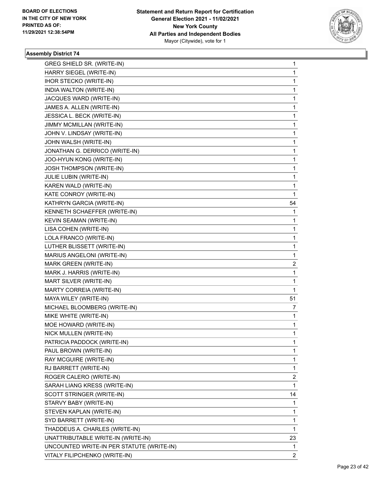

| GREG SHIELD SR. (WRITE-IN)                | $\mathbf{1}$ |
|-------------------------------------------|--------------|
| HARRY SIEGEL (WRITE-IN)                   | 1            |
| IHOR STECKO (WRITE-IN)                    | 1            |
| INDIA WALTON (WRITE-IN)                   | 1            |
| JACQUES WARD (WRITE-IN)                   | 1            |
| JAMES A. ALLEN (WRITE-IN)                 | 1            |
| JESSICA L. BECK (WRITE-IN)                | 1            |
| JIMMY MCMILLAN (WRITE-IN)                 | 1            |
| JOHN V. LINDSAY (WRITE-IN)                | 1            |
| JOHN WALSH (WRITE-IN)                     | 1            |
| JONATHAN G. DERRICO (WRITE-IN)            | 1            |
| JOO-HYUN KONG (WRITE-IN)                  | 1            |
| JOSH THOMPSON (WRITE-IN)                  | 1            |
| JULIE LUBIN (WRITE-IN)                    | 1            |
| KAREN WALD (WRITE-IN)                     | 1            |
| KATE CONROY (WRITE-IN)                    | 1            |
| KATHRYN GARCIA (WRITE-IN)                 | 54           |
| KENNETH SCHAEFFER (WRITE-IN)              | 1            |
| KEVIN SEAMAN (WRITE-IN)                   | 1            |
| LISA COHEN (WRITE-IN)                     | 1            |
| LOLA FRANCO (WRITE-IN)                    | 1            |
| LUTHER BLISSETT (WRITE-IN)                | 1            |
| MARIUS ANGELONI (WRITE-IN)                | 1            |
| MARK GREEN (WRITE-IN)                     | 2            |
| MARK J. HARRIS (WRITE-IN)                 | 1            |
| MART SILVER (WRITE-IN)                    | 1            |
| MARTY CORREIA (WRITE-IN)                  | 1            |
| MAYA WILEY (WRITE-IN)                     | 51           |
| MICHAEL BLOOMBERG (WRITE-IN)              | 7            |
| MIKE WHITE (WRITE-IN)                     | 1            |
| MOE HOWARD (WRITE-IN)                     | 1            |
| NICK MULLEN (WRITE-IN)                    | 1            |
| PATRICIA PADDOCK (WRITE-IN)               | 1            |
| PAUL BROWN (WRITE-IN)                     | 1            |
| RAY MCGUIRE (WRITE-IN)                    | 1            |
| RJ BARRETT (WRITE-IN)                     | 1            |
| ROGER CALERO (WRITE-IN)                   | 2            |
| SARAH LIANG KRESS (WRITE-IN)              | 1            |
| SCOTT STRINGER (WRITE-IN)                 | 14           |
| STARVY BABY (WRITE-IN)                    | 1            |
| STEVEN KAPLAN (WRITE-IN)                  | 1            |
| SYD BARRETT (WRITE-IN)                    | 1            |
| THADDEUS A. CHARLES (WRITE-IN)            | 1            |
| UNATTRIBUTABLE WRITE-IN (WRITE-IN)        | 23           |
| UNCOUNTED WRITE-IN PER STATUTE (WRITE-IN) | 1            |
| VITALY FILIPCHENKO (WRITE-IN)             | 2            |
|                                           |              |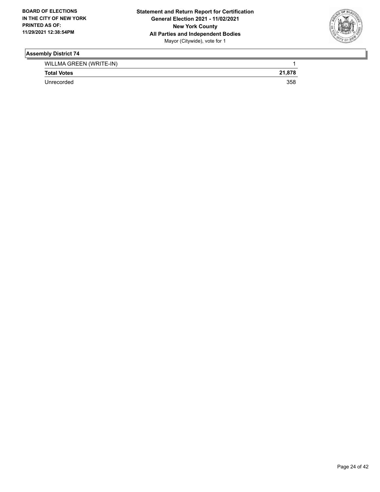

| WILLMA GREEN (WRITE-IN) |        |
|-------------------------|--------|
| <b>Total Votes</b>      | 21.878 |
| Unrecorded              | 358    |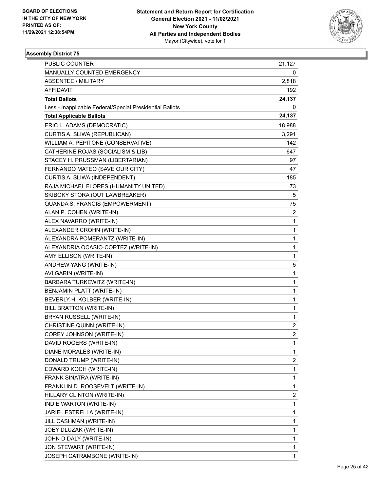

| PUBLIC COUNTER                                           | 21,127         |
|----------------------------------------------------------|----------------|
| MANUALLY COUNTED EMERGENCY                               | 0              |
| <b>ABSENTEE / MILITARY</b>                               | 2,818          |
| AFFIDAVIT                                                | 192            |
| <b>Total Ballots</b>                                     | 24,137         |
| Less - Inapplicable Federal/Special Presidential Ballots | 0              |
| <b>Total Applicable Ballots</b>                          | 24,137         |
| ERIC L. ADAMS (DEMOCRATIC)                               | 18,988         |
| CURTIS A. SLIWA (REPUBLICAN)                             | 3,291          |
| WILLIAM A. PEPITONE (CONSERVATIVE)                       | 142            |
| CATHERINE ROJAS (SOCIALISM & LIB)                        | 647            |
| STACEY H. PRUSSMAN (LIBERTARIAN)                         | 97             |
| FERNANDO MATEO (SAVE OUR CITY)                           | 47             |
| CURTIS A. SLIWA (INDEPENDENT)                            | 185            |
| RAJA MICHAEL FLORES (HUMANITY UNITED)                    | 73             |
| SKIBOKY STORA (OUT LAWBREAKER)                           | 5              |
| QUANDA S. FRANCIS (EMPOWERMENT)                          | 75             |
| ALAN P. COHEN (WRITE-IN)                                 | $\overline{c}$ |
| ALEX NAVARRO (WRITE-IN)                                  | $\mathbf{1}$   |
| ALEXANDER CROHN (WRITE-IN)                               | 1              |
| ALEXANDRA POMERANTZ (WRITE-IN)                           | $\mathbf{1}$   |
| ALEXANDRIA OCASIO-CORTEZ (WRITE-IN)                      | $\mathbf{1}$   |
| AMY ELLISON (WRITE-IN)                                   | 1              |
| ANDREW YANG (WRITE-IN)                                   | 5              |
| AVI GARIN (WRITE-IN)                                     | $\mathbf{1}$   |
| BARBARA TURKEWITZ (WRITE-IN)                             | 1              |
| BENJAMIN PLATT (WRITE-IN)                                | $\mathbf{1}$   |
| BEVERLY H. KOLBER (WRITE-IN)                             | 1              |
| BILL BRATTON (WRITE-IN)                                  | 1              |
| BRYAN RUSSELL (WRITE-IN)                                 | $\mathbf{1}$   |
| CHRISTINE QUINN (WRITE-IN)                               | 2              |
| COREY JOHNSON (WRITE-IN)                                 | $\overline{2}$ |
| DAVID ROGERS (WRITE-IN)                                  | 1              |
| DIANE MORALES (WRITE-IN)                                 | $\mathbf{1}$   |
| DONALD TRUMP (WRITE-IN)                                  | 2              |
| EDWARD KOCH (WRITE-IN)                                   | $\mathbf{1}$   |
| FRANK SINATRA (WRITE-IN)                                 | 1              |
| FRANKLIN D. ROOSEVELT (WRITE-IN)                         | 1              |
| HILLARY CLINTON (WRITE-IN)                               | 2              |
| INDIE WARTON (WRITE-IN)                                  | $\mathbf{1}$   |
| JARIEL ESTRELLA (WRITE-IN)                               | 1              |
| JILL CASHMAN (WRITE-IN)                                  | $\mathbf{1}$   |
| JOEY DLUZAK (WRITE-IN)                                   | 1              |
| JOHN D DALY (WRITE-IN)                                   | 1              |
| JON STEWART (WRITE-IN)                                   | 1              |
| JOSEPH CATRAMBONE (WRITE-IN)                             | $\mathbf{1}$   |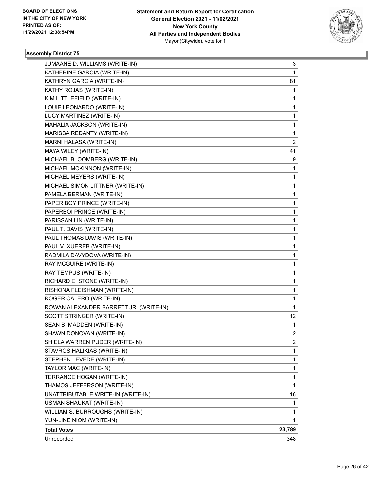

| JUMAANE D. WILLIAMS (WRITE-IN)         | 3              |
|----------------------------------------|----------------|
| KATHERINE GARCIA (WRITE-IN)            | 1              |
| KATHRYN GARCIA (WRITE-IN)              | 81             |
| KATHY ROJAS (WRITE-IN)                 | 1              |
| KIM LITTLEFIELD (WRITE-IN)             | 1              |
| LOUIE LEONARDO (WRITE-IN)              | 1              |
| LUCY MARTINEZ (WRITE-IN)               | 1              |
| MAHALIA JACKSON (WRITE-IN)             | 1              |
| MARISSA REDANTY (WRITE-IN)             | 1              |
| MARNI HALASA (WRITE-IN)                | $\overline{c}$ |
| MAYA WILEY (WRITE-IN)                  | 41             |
| MICHAEL BLOOMBERG (WRITE-IN)           | 9              |
| MICHAEL MCKINNON (WRITE-IN)            | 1              |
| MICHAEL MEYERS (WRITE-IN)              | 1              |
| MICHAEL SIMON LITTNER (WRITE-IN)       | 1              |
| PAMELA BERMAN (WRITE-IN)               | 1              |
| PAPER BOY PRINCE (WRITE-IN)            | 1              |
| PAPERBOI PRINCE (WRITE-IN)             | 1              |
| PARISSAN LIN (WRITE-IN)                | 1              |
| PAUL T. DAVIS (WRITE-IN)               | 1              |
| PAUL THOMAS DAVIS (WRITE-IN)           | 1              |
| PAUL V. XUEREB (WRITE-IN)              | 1              |
| RADMILA DAVYDOVA (WRITE-IN)            | 1              |
| RAY MCGUIRE (WRITE-IN)                 | 1              |
| RAY TEMPUS (WRITE-IN)                  | 1              |
| RICHARD E. STONE (WRITE-IN)            | 1              |
| RISHONA FLEISHMAN (WRITE-IN)           | 1              |
| ROGER CALERO (WRITE-IN)                | 1              |
| ROWAN ALEXANDER BARRETT JR. (WRITE-IN) | 1              |
| SCOTT STRINGER (WRITE-IN)              | 12.            |
| SEAN B. MADDEN (WRITE-IN)              | 1              |
| SHAWN DONOVAN (WRITE-IN)               | $\overline{c}$ |
| SHIELA WARREN PUDER (WRITE-IN)         | 2              |
| STAVROS HALIKIAS (WRITE-IN)            | 1              |
| STEPHEN LEVEDE (WRITE-IN)              | 1              |
| TAYLOR MAC (WRITE-IN)                  | 1              |
| TERRANCE HOGAN (WRITE-IN)              | 1              |
| THAMOS JEFFERSON (WRITE-IN)            | 1              |
| UNATTRIBUTABLE WRITE-IN (WRITE-IN)     | 16             |
| USMAN SHAUKAT (WRITE-IN)               | 1              |
| WILLIAM S. BURROUGHS (WRITE-IN)        | 1              |
| YUN-LINE NIOM (WRITE-IN)               | 1              |
| <b>Total Votes</b>                     | 23,789         |
| Unrecorded                             | 348            |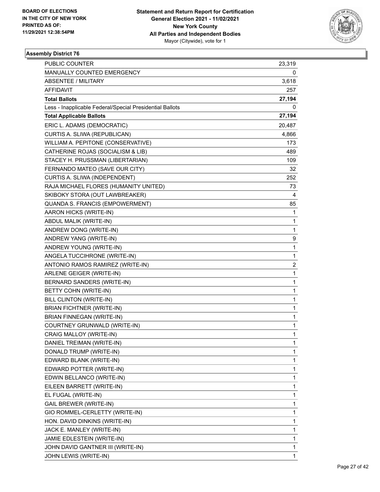

| <b>PUBLIC COUNTER</b>                                    | 23,319       |
|----------------------------------------------------------|--------------|
| MANUALLY COUNTED EMERGENCY                               | 0            |
| <b>ABSENTEE / MILITARY</b>                               | 3,618        |
| AFFIDAVIT                                                | 257          |
| <b>Total Ballots</b>                                     | 27,194       |
| Less - Inapplicable Federal/Special Presidential Ballots | 0            |
| <b>Total Applicable Ballots</b>                          | 27,194       |
| ERIC L. ADAMS (DEMOCRATIC)                               | 20,487       |
| CURTIS A. SLIWA (REPUBLICAN)                             | 4,866        |
| WILLIAM A. PEPITONE (CONSERVATIVE)                       | 173          |
| CATHERINE ROJAS (SOCIALISM & LIB)                        | 489          |
| STACEY H. PRUSSMAN (LIBERTARIAN)                         | 109          |
| FERNANDO MATEO (SAVE OUR CITY)                           | 32           |
| CURTIS A. SLIWA (INDEPENDENT)                            | 252          |
| RAJA MICHAEL FLORES (HUMANITY UNITED)                    | 73           |
| SKIBOKY STORA (OUT LAWBREAKER)                           | 4            |
| <b>QUANDA S. FRANCIS (EMPOWERMENT)</b>                   | 85           |
| AARON HICKS (WRITE-IN)                                   | 1            |
| ABDUL MALIK (WRITE-IN)                                   | 1            |
| ANDREW DONG (WRITE-IN)                                   | 1            |
| ANDREW YANG (WRITE-IN)                                   | 9            |
| ANDREW YOUNG (WRITE-IN)                                  | 1            |
| ANGELA TUCCIHRONE (WRITE-IN)                             | 1            |
| ANTONIO RAMOS RAMIREZ (WRITE-IN)                         | 2            |
| ARLENE GEIGER (WRITE-IN)                                 | 1            |
| BERNARD SANDERS (WRITE-IN)                               | 1            |
| BETTY COHN (WRITE-IN)                                    | 1            |
| BILL CLINTON (WRITE-IN)                                  | 1            |
| <b>BRIAN FICHTNER (WRITE-IN)</b>                         | 1            |
| <b>BRIAN FINNEGAN (WRITE-IN)</b>                         | $\mathbf{1}$ |
| COURTNEY GRUNWALD (WRITE-IN)                             | 1            |
| CRAIG MALLOY (WRITE-IN)                                  | 1            |
| DANIEL TREIMAN (WRITE-IN)                                | 1            |
| DONALD TRUMP (WRITE-IN)                                  | 1            |
| EDWARD BLANK (WRITE-IN)                                  | 1            |
| EDWARD POTTER (WRITE-IN)                                 | 1            |
| EDWIN BELLANCO (WRITE-IN)                                | 1            |
| EILEEN BARRETT (WRITE-IN)                                | 1            |
| EL FUGAL (WRITE-IN)                                      | 1            |
| <b>GAIL BREWER (WRITE-IN)</b>                            | 1            |
| GIO ROMMEL-CERLETTY (WRITE-IN)                           | 1            |
| HON. DAVID DINKINS (WRITE-IN)                            | 1            |
| JACK E. MANLEY (WRITE-IN)                                | 1            |
| JAMIE EDLESTEIN (WRITE-IN)                               | 1            |
| JOHN DAVID GANTNER III (WRITE-IN)                        | 1            |
| JOHN LEWIS (WRITE-IN)                                    | 1            |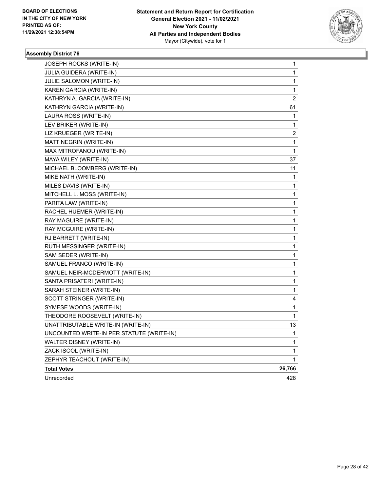

| Unrecorded                                              | 428                     |
|---------------------------------------------------------|-------------------------|
| <b>Total Votes</b>                                      | 26,766                  |
| ZEPHYR TEACHOUT (WRITE-IN)                              | 1                       |
| ZACK ISOOL (WRITE-IN)                                   | 1                       |
| WALTER DISNEY (WRITE-IN)                                | 1                       |
| UNCOUNTED WRITE-IN PER STATUTE (WRITE-IN)               | 1                       |
| UNATTRIBUTABLE WRITE-IN (WRITE-IN)                      | 13                      |
| THEODORE ROOSEVELT (WRITE-IN)                           | 1                       |
| SYMESE WOODS (WRITE-IN)                                 | 1                       |
| SCOTT STRINGER (WRITE-IN)                               | 4                       |
| SARAH STEINER (WRITE-IN)                                | 1                       |
| SANTA PRISATERI (WRITE-IN)                              | 1                       |
| SAMUEL NEIR-MCDERMOTT (WRITE-IN)                        | 1                       |
| SAMUEL FRANCO (WRITE-IN)                                | 1                       |
| SAM SEDER (WRITE-IN)                                    | 1                       |
| RUTH MESSINGER (WRITE-IN)                               | 1                       |
| RJ BARRETT (WRITE-IN)                                   | 1                       |
| RAY MCGUIRE (WRITE-IN)                                  | 1                       |
| RAY MAGUIRE (WRITE-IN)                                  | 1                       |
| RACHEL HUEMER (WRITE-IN)                                | 1                       |
| PARITA LAW (WRITE-IN)                                   | 1                       |
| MITCHELL L. MOSS (WRITE-IN)                             | 1                       |
| MILES DAVIS (WRITE-IN)                                  | 1                       |
| MIKE NATH (WRITE-IN)                                    | 1                       |
| MICHAEL BLOOMBERG (WRITE-IN)                            | 11                      |
| MAYA WILEY (WRITE-IN)                                   | 37                      |
| MAX MITROFANOU (WRITE-IN)                               | 1                       |
| MATT NEGRIN (WRITE-IN)                                  | 1                       |
| LIZ KRUEGER (WRITE-IN)                                  | $\overline{\mathbf{c}}$ |
| LAURA ROSS (WRITE-IN)<br>LEV BRIKER (WRITE-IN)          | 1                       |
|                                                         | 1                       |
| KATHRYN GARCIA (WRITE-IN)                               | 61                      |
| KAREN GARCIA (WRITE-IN)<br>KATHRYN A. GARCIA (WRITE-IN) | 2                       |
| JULIE SALOMON (WRITE-IN)                                | 1<br>1                  |
| JULIA GUIDERA (WRITE-IN)                                | 1                       |
| JOSEPH ROCKS (WRITE-IN)                                 | 1                       |
|                                                         |                         |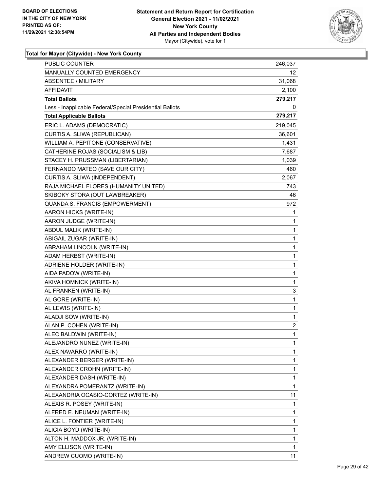

| PUBLIC COUNTER                                           | 246,037      |
|----------------------------------------------------------|--------------|
| <b>MANUALLY COUNTED EMERGENCY</b>                        | 12.          |
| <b>ABSENTEE / MILITARY</b>                               | 31,068       |
| AFFIDAVIT                                                | 2,100        |
| <b>Total Ballots</b>                                     | 279,217      |
| Less - Inapplicable Federal/Special Presidential Ballots | 0            |
| <b>Total Applicable Ballots</b>                          | 279,217      |
| ERIC L. ADAMS (DEMOCRATIC)                               | 219,045      |
| CURTIS A. SLIWA (REPUBLICAN)                             | 36,601       |
| WILLIAM A. PEPITONE (CONSERVATIVE)                       | 1,431        |
| CATHERINE ROJAS (SOCIALISM & LIB)                        | 7,687        |
| STACEY H. PRUSSMAN (LIBERTARIAN)                         | 1,039        |
| FERNANDO MATEO (SAVE OUR CITY)                           | 460          |
| CURTIS A. SLIWA (INDEPENDENT)                            | 2,067        |
| RAJA MICHAEL FLORES (HUMANITY UNITED)                    | 743          |
| SKIBOKY STORA (OUT LAWBREAKER)                           | 46           |
| QUANDA S. FRANCIS (EMPOWERMENT)                          | 972          |
| AARON HICKS (WRITE-IN)                                   | 1            |
| AARON JUDGE (WRITE-IN)                                   | 1            |
| ABDUL MALIK (WRITE-IN)                                   | $\mathbf{1}$ |
| ABIGAIL ZUGAR (WRITE-IN)                                 | 1            |
| ABRAHAM LINCOLN (WRITE-IN)                               | 1            |
| ADAM HERBST (WRITE-IN)                                   | $\mathbf{1}$ |
| ADRIENE HOLDER (WRITE-IN)                                | 1            |
| AIDA PADOW (WRITE-IN)                                    | 1            |
| AKIVA HOMNICK (WRITE-IN)                                 | 1            |
| AL FRANKEN (WRITE-IN)                                    | 3            |
| AL GORE (WRITE-IN)                                       | $\mathbf{1}$ |
| AL LEWIS (WRITE-IN)                                      | 1            |
| ALADJI SOW (WRITE-IN)                                    | 1            |
| ALAN P. COHEN (WRITE-IN)                                 | 2            |
| ALEC BALDWIN (WRITE-IN)                                  | $\mathbf{1}$ |
| ALEJANDRO NUNEZ (WRITE-IN)                               | 1            |
| ALEX NAVARRO (WRITE-IN)                                  | 1            |
| ALEXANDER BERGER (WRITE-IN)                              | 1            |
| ALEXANDER CROHN (WRITE-IN)                               | 1            |
| ALEXANDER DASH (WRITE-IN)                                | 1            |
| ALEXANDRA POMERANTZ (WRITE-IN)                           | 1            |
| ALEXANDRIA OCASIO-CORTEZ (WRITE-IN)                      | 11           |
| ALEXIS R. POSEY (WRITE-IN)                               | 1            |
| ALFRED E. NEUMAN (WRITE-IN)                              | 1            |
| ALICE L. FONTIER (WRITE-IN)                              | 1            |
| ALICIA BOYD (WRITE-IN)                                   | 1            |
| ALTON H. MADDOX JR. (WRITE-IN)                           | 1            |
| AMY ELLISON (WRITE-IN)                                   | 1            |
| ANDREW CUOMO (WRITE-IN)                                  | 11           |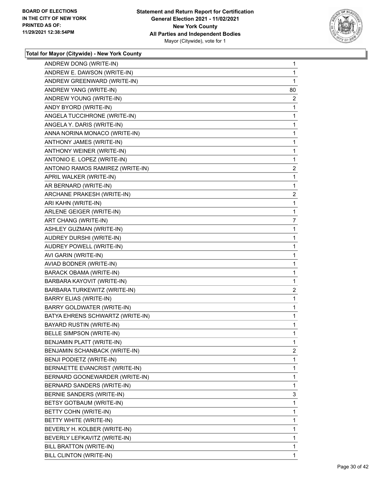

| ANDREW DONG (WRITE-IN)           | 1              |
|----------------------------------|----------------|
| ANDREW E. DAWSON (WRITE-IN)      | 1              |
| ANDREW GREENWARD (WRITE-IN)      | 1              |
| ANDREW YANG (WRITE-IN)           | 80             |
| ANDREW YOUNG (WRITE-IN)          | $\overline{2}$ |
| ANDY BYORD (WRITE-IN)            | 1              |
| ANGELA TUCCIHRONE (WRITE-IN)     | 1              |
| ANGELA Y. DARIS (WRITE-IN)       | 1              |
| ANNA NORINA MONACO (WRITE-IN)    | 1              |
| ANTHONY JAMES (WRITE-IN)         | 1              |
| ANTHONY WEINER (WRITE-IN)        | 1              |
| ANTONIO E. LOPEZ (WRITE-IN)      | 1              |
| ANTONIO RAMOS RAMIREZ (WRITE-IN) | $\overline{2}$ |
| APRIL WALKER (WRITE-IN)          | 1              |
| AR BERNARD (WRITE-IN)            | 1              |
| ARCHANE PRAKESH (WRITE-IN)       | $\overline{a}$ |
| ARI KAHN (WRITE-IN)              | 1              |
| ARLENE GEIGER (WRITE-IN)         | 1              |
| ART CHANG (WRITE-IN)             | 7              |
| ASHLEY GUZMAN (WRITE-IN)         | 1              |
| AUDREY DURSHI (WRITE-IN)         | 1              |
| AUDREY POWELL (WRITE-IN)         | 1              |
| AVI GARIN (WRITE-IN)             | 1              |
| AVIAD BODNER (WRITE-IN)          | 1              |
| <b>BARACK OBAMA (WRITE-IN)</b>   | 1              |
| BARBARA KAYOVIT (WRITE-IN)       | 1              |
| BARBARA TURKEWITZ (WRITE-IN)     | $\overline{2}$ |
| <b>BARRY ELIAS (WRITE-IN)</b>    | 1              |
| BARRY GOLDWATER (WRITE-IN)       | 1              |
| BATYA EHRENS SCHWARTZ (WRITE-IN) | 1              |
| <b>BAYARD RUSTIN (WRITE-IN)</b>  | 1              |
| BELLE SIMPSON (WRITE-IN)         | 1              |
| BENJAMIN PLATT (WRITE-IN)        | 1              |
| BENJAMIN SCHANBACK (WRITE-IN)    | $\overline{2}$ |
| BENJI PODIETZ (WRITE-IN)         | 1              |
| BERNAETTE EVANCRIST (WRITE-IN)   | 1              |
| BERNARD GOONEWARDER (WRITE-IN)   | 1              |
| BERNARD SANDERS (WRITE-IN)       | 1              |
| BERNIE SANDERS (WRITE-IN)        | 3              |
| BETSY GOTBAUM (WRITE-IN)         | 1              |
| BETTY COHN (WRITE-IN)            | 1              |
| BETTY WHITE (WRITE-IN)           | 1              |
| BEVERLY H. KOLBER (WRITE-IN)     | 1              |
| BEVERLY LEFKAVITZ (WRITE-IN)     | 1              |
| BILL BRATTON (WRITE-IN)          | 1              |
| BILL CLINTON (WRITE-IN)          | 1              |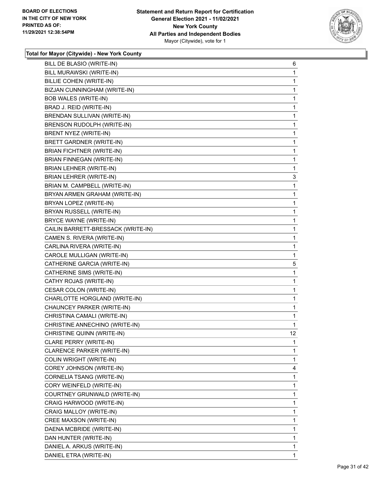

| BILL DE BLASIO (WRITE-IN)          | 6            |
|------------------------------------|--------------|
| BILL MURAWSKI (WRITE-IN)           | 1            |
| BILLIE COHEN (WRITE-IN)            | 1            |
| BIZJAN CUNNINGHAM (WRITE-IN)       | 1            |
| <b>BOB WALES (WRITE-IN)</b>        | 1            |
| BRAD J. REID (WRITE-IN)            | $\mathbf{1}$ |
| BRENDAN SULLIVAN (WRITE-IN)        | 1            |
| BRENSON RUDOLPH (WRITE-IN)         | $\mathbf{1}$ |
| BRENT NYEZ (WRITE-IN)              | 1            |
| <b>BRETT GARDNER (WRITE-IN)</b>    | 1            |
| <b>BRIAN FICHTNER (WRITE-IN)</b>   | 1            |
| BRIAN FINNEGAN (WRITE-IN)          | $\mathbf{1}$ |
| BRIAN LEHNER (WRITE-IN)            | 1            |
| BRIAN LEHRER (WRITE-IN)            | 3            |
| BRIAN M. CAMPBELL (WRITE-IN)       | 1            |
| BRYAN ARMEN GRAHAM (WRITE-IN)      | 1            |
| BRYAN LOPEZ (WRITE-IN)             | 1            |
| BRYAN RUSSELL (WRITE-IN)           | $\mathbf{1}$ |
| BRYCE WAYNE (WRITE-IN)             | 1            |
| CAILIN BARRETT-BRESSACK (WRITE-IN) | $\mathbf{1}$ |
| CAMEN S. RIVERA (WRITE-IN)         | 1            |
| CARLINA RIVERA (WRITE-IN)          | 1            |
| CAROLE MULLIGAN (WRITE-IN)         | 1            |
| CATHERINE GARCIA (WRITE-IN)        | 5            |
| CATHERINE SIMS (WRITE-IN)          | 1            |
| CATHY ROJAS (WRITE-IN)             | $\mathbf{1}$ |
| CESAR COLON (WRITE-IN)             | 1            |
| CHARLOTTE HORGLAND (WRITE-IN)      | 1            |
| CHAUNCEY PARKER (WRITE-IN)         | $\mathbf{1}$ |
| CHRISTINA CAMALI (WRITE-IN)        | $\mathbf{1}$ |
| CHRISTINE ANNECHINO (WRITE-IN)     | 1            |
| CHRISTINE QUINN (WRITE-IN)         | 12           |
| CLARE PERRY (WRITE-IN)             | 1            |
| CLARENCE PARKER (WRITE-IN)         | 1            |
| COLIN WRIGHT (WRITE-IN)            | $\mathbf{1}$ |
| COREY JOHNSON (WRITE-IN)           | 4            |
| CORNELIA TSANG (WRITE-IN)          | 1            |
| CORY WEINFELD (WRITE-IN)           | $\mathbf{1}$ |
| COURTNEY GRUNWALD (WRITE-IN)       | 1            |
| CRAIG HARWOOD (WRITE-IN)           | 1            |
| CRAIG MALLOY (WRITE-IN)            | $\mathbf{1}$ |
| CREE MAXSON (WRITE-IN)             | 1            |
| DAENA MCBRIDE (WRITE-IN)           | 1            |
| DAN HUNTER (WRITE-IN)              | $\mathbf{1}$ |
| DANIEL A. ARKUS (WRITE-IN)         | $\mathbf{1}$ |
| DANIEL ETRA (WRITE-IN)             | 1            |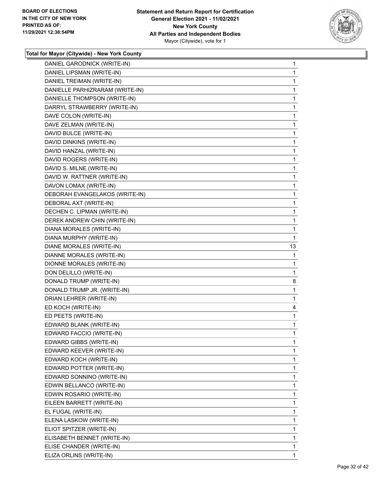

| DANIEL GARODNICK (WRITE-IN)<br>DANIEL LIPSMAN (WRITE-IN) |              |
|----------------------------------------------------------|--------------|
|                                                          | $\mathbf{1}$ |
|                                                          | 1            |
| DANIEL TREIMAN (WRITE-IN)                                | 1            |
| DANIELLE PARHIZRARAM (WRITE-IN)                          | 1            |
| DANIELLE THOMPSON (WRITE-IN)                             | 1            |
| DARRYL STRAWBERRY (WRITE-IN)                             | 1            |
| DAVE COLON (WRITE-IN)                                    | 1            |
| DAVE ZELMAN (WRITE-IN)                                   | 1            |
| DAVID BULCE (WRITE-IN)                                   | 1            |
| DAVID DINKINS (WRITE-IN)                                 | 1            |
| DAVID HANZAL (WRITE-IN)                                  | 1            |
| DAVID ROGERS (WRITE-IN)                                  | 1            |
| DAVID S. MILNE (WRITE-IN)                                | 1            |
| DAVID W. RATTNER (WRITE-IN)                              | 1            |
| DAVON LOMAX (WRITE-IN)                                   | 1            |
| DEBORAH EVANGELAKOS (WRITE-IN)                           | 1            |
| DEBORAL AXT (WRITE-IN)                                   | 1            |
| DECHEN C. LIPMAN (WRITE-IN)                              | $\mathbf 1$  |
| DEREK ANDREW CHIN (WRITE-IN)                             | 1            |
| DIANA MORALES (WRITE-IN)                                 | 1            |
| DIANA MURPHY (WRITE-IN)                                  | 1            |
| DIANE MORALES (WRITE-IN)                                 | 13           |
| DIANNE MORALES (WRITE-IN)                                | 1            |
| DIONNE MORALES (WRITE-IN)                                | 1            |
| DON DELILLO (WRITE-IN)                                   | 1            |
|                                                          |              |
| DONALD TRUMP (WRITE-IN)                                  | 8            |
| DONALD TRUMP JR. (WRITE-IN)                              | $\mathbf 1$  |
| DRIAN LEHRER (WRITE-IN)                                  | 1            |
| ED KOCH (WRITE-IN)                                       | 4            |
| ED PEETS (WRITE-IN)                                      | 1            |
| EDWARD BLANK (WRITE-IN)                                  | 1            |
| EDWARD FACCIO (WRITE-IN)                                 | 1            |
| EDWARD GIBBS (WRITE-IN)                                  | 1            |
| EDWARD KEEVER (WRITE-IN)                                 | 1            |
| EDWARD KOCH (WRITE-IN)                                   | 1            |
| EDWARD POTTER (WRITE-IN)                                 | 1            |
| EDWARD SONNINO (WRITE-IN)                                | 1            |
| EDWIN BELLANCO (WRITE-IN)                                | 1            |
| EDWIN ROSARIO (WRITE-IN)                                 | 1            |
| EILEEN BARRETT (WRITE-IN)                                | 1            |
| EL FUGAL (WRITE-IN)                                      | 1            |
| ELENA LASKOW (WRITE-IN)                                  | 1            |
| ELIOT SPITZER (WRITE-IN)                                 | 1            |
| ELISABETH BENNET (WRITE-IN)                              | 1            |
| ELISE CHANDER (WRITE-IN)                                 | 1            |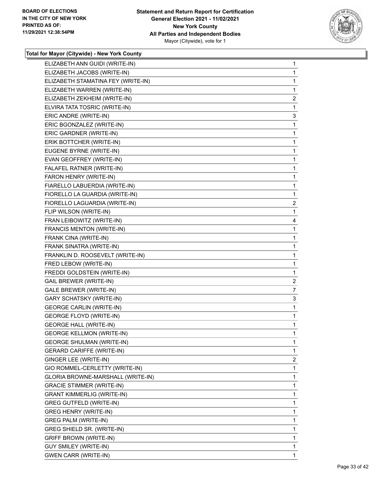

| ELIZABETH ANN GUIDI (WRITE-IN)     | $\mathbf{1}$   |
|------------------------------------|----------------|
| ELIZABETH JACOBS (WRITE-IN)        | 1              |
| ELIZABETH STAMATINA FEY (WRITE-IN) | 1              |
| ELIZABETH WARREN (WRITE-IN)        | 1              |
| ELIZABETH ZEKHEIM (WRITE-IN)       | $\overline{2}$ |
| ELVIRA TATA TOSRIC (WRITE-IN)      | 1              |
| ERIC ANDRE (WRITE-IN)              | 3              |
| ERIC BGONZALEZ (WRITE-IN)          | 1              |
| ERIC GARDNER (WRITE-IN)            | 1              |
| ERIK BOTTCHER (WRITE-IN)           | 1              |
| EUGENE BYRNE (WRITE-IN)            | 1              |
| EVAN GEOFFREY (WRITE-IN)           | 1              |
| FALAFEL RATNER (WRITE-IN)          | 1              |
| FARON HENRY (WRITE-IN)             | 1              |
| FIARELLO LABUERDIA (WRITE-IN)      | 1              |
| FIORELLO LA GUARDIA (WRITE-IN)     | 1              |
| FIORELLO LAGUARDIA (WRITE-IN)      | 2              |
| FLIP WILSON (WRITE-IN)             | 1              |
| FRAN LEIBOWITZ (WRITE-IN)          | 4              |
| FRANCIS MENTON (WRITE-IN)          | 1              |
| FRANK CINA (WRITE-IN)              | 1              |
| FRANK SINATRA (WRITE-IN)           | 1              |
| FRANKLIN D. ROOSEVELT (WRITE-IN)   | 1              |
| FRED LEBOW (WRITE-IN)              | 1              |
| FREDDI GOLDSTEIN (WRITE-IN)        | 1              |
| <b>GAIL BREWER (WRITE-IN)</b>      | $\overline{2}$ |
| <b>GALE BREWER (WRITE-IN)</b>      | 7              |
| <b>GARY SCHATSKY (WRITE-IN)</b>    | 3              |
| <b>GEORGE CARLIN (WRITE-IN)</b>    | 1              |
| <b>GEORGE FLOYD (WRITE-IN)</b>     | 1              |
| <b>GEORGE HALL (WRITE-IN)</b>      | 1              |
| <b>GEORGE KELLMON (WRITE-IN)</b>   | 1              |
| <b>GEORGE SHULMAN (WRITE-IN)</b>   | 1              |
| <b>GERARD CARIFFE (WRITE-IN)</b>   | 1              |
| GINGER LEE (WRITE-IN)              | $\overline{2}$ |
| GIO ROMMEL-CERLETTY (WRITE-IN)     | 1              |
| GLORIA BROWNE-MARSHALL (WRITE-IN)  | 1              |
| <b>GRACIE STIMMER (WRITE-IN)</b>   | 1              |
| <b>GRANT KIMMERLIG (WRITE-IN)</b>  | 1              |
| <b>GREG GUTFELD (WRITE-IN)</b>     | 1              |
| <b>GREG HENRY (WRITE-IN)</b>       | 1              |
| GREG PALM (WRITE-IN)               | 1              |
| GREG SHIELD SR. (WRITE-IN)         | 1              |
| <b>GRIFF BROWN (WRITE-IN)</b>      | 1              |
| GUY SMILEY (WRITE-IN)              | 1              |
| <b>GWEN CARR (WRITE-IN)</b>        | 1              |
|                                    |                |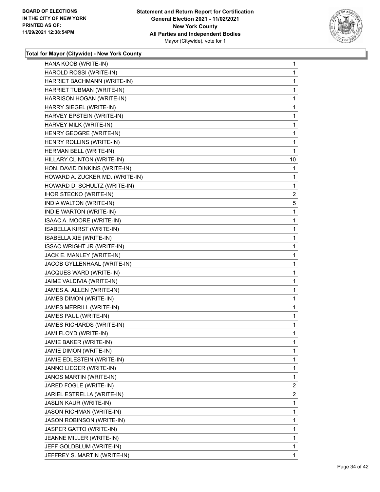

| HANA KOOB (WRITE-IN)              | 1              |
|-----------------------------------|----------------|
| HAROLD ROSSI (WRITE-IN)           | 1              |
| HARRIET BACHMANN (WRITE-IN)       | 1              |
| HARRIET TUBMAN (WRITE-IN)         | 1              |
| HARRISON HOGAN (WRITE-IN)         | 1              |
| HARRY SIEGEL (WRITE-IN)           | 1              |
| HARVEY EPSTEIN (WRITE-IN)         | 1              |
| HARVEY MILK (WRITE-IN)            | 1              |
| HENRY GEOGRE (WRITE-IN)           | 1              |
| HENRY ROLLINS (WRITE-IN)          | 1              |
| HERMAN BELL (WRITE-IN)            | 1              |
| HILLARY CLINTON (WRITE-IN)        | 10             |
| HON. DAVID DINKINS (WRITE-IN)     | 1              |
| HOWARD A. ZUCKER MD. (WRITE-IN)   | 1              |
| HOWARD D. SCHULTZ (WRITE-IN)      | 1              |
| <b>IHOR STECKO (WRITE-IN)</b>     | 2              |
| INDIA WALTON (WRITE-IN)           | 5              |
| INDIE WARTON (WRITE-IN)           | 1              |
| ISAAC A. MOORE (WRITE-IN)         | 1              |
| ISABELLA KIRST (WRITE-IN)         | 1              |
| ISABELLA XIE (WRITE-IN)           | 1              |
| <b>ISSAC WRIGHT JR (WRITE-IN)</b> | 1              |
| JACK E. MANLEY (WRITE-IN)         | 1              |
| JACOB GYLLENHAAL (WRITE-IN)       | 1              |
| JACQUES WARD (WRITE-IN)           | 1              |
| JAIME VALDIVIA (WRITE-IN)         | $\mathbf{1}$   |
| JAMES A. ALLEN (WRITE-IN)         | 1              |
| JAMES DIMON (WRITE-IN)            | 1              |
| JAMES MERRILL (WRITE-IN)          | $\mathbf{1}$   |
| JAMES PAUL (WRITE-IN)             | 1              |
| JAMES RICHARDS (WRITE-IN)         | 1              |
| JAMI FLOYD (WRITE-IN)             | 1              |
| JAMIE BAKER (WRITE-IN)            | 1              |
| JAMIE DIMON (WRITE-IN)            | 1.             |
| JAMIE EDLESTEIN (WRITE-IN)        | 1              |
| JANNO LIEGER (WRITE-IN)           | 1              |
| JANOS MARTIN (WRITE-IN)           | 1              |
| JARED FOGLE (WRITE-IN)            | $\overline{2}$ |
| JARIEL ESTRELLA (WRITE-IN)        | $\overline{2}$ |
| JASLIN KAUR (WRITE-IN)            | 1              |
| <b>JASON RICHMAN (WRITE-IN)</b>   | 1              |
| JASON ROBINSON (WRITE-IN)         | 1              |
| JASPER GATTO (WRITE-IN)           | 1              |
| JEANNE MILLER (WRITE-IN)          | 1              |
| JEFF GOLDBLUM (WRITE-IN)          | 1              |
| JEFFREY S. MARTIN (WRITE-IN)      | 1              |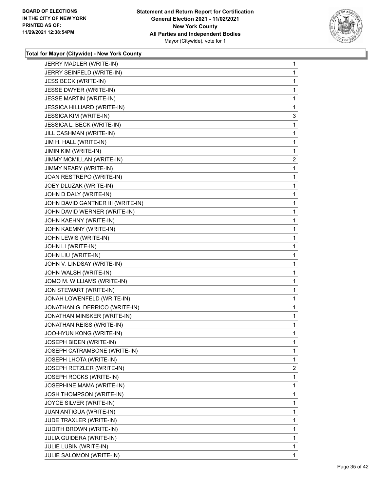

| JERRY MADLER (WRITE-IN)           | 1              |
|-----------------------------------|----------------|
| JERRY SEINFELD (WRITE-IN)         | 1              |
| JESS BECK (WRITE-IN)              | 1              |
| JESSE DWYER (WRITE-IN)            | 1              |
| JESSE MARTIN (WRITE-IN)           | 1              |
| JESSICA HILLIARD (WRITE-IN)       | 1              |
| <b>JESSICA KIM (WRITE-IN)</b>     | 3              |
| JESSICA L. BECK (WRITE-IN)        | 1              |
| JILL CASHMAN (WRITE-IN)           | 1              |
| JIM H. HALL (WRITE-IN)            | 1              |
| JIMIN KIM (WRITE-IN)              | 1              |
| JIMMY MCMILLAN (WRITE-IN)         | $\overline{c}$ |
| JIMMY NEARY (WRITE-IN)            | 1              |
| JOAN RESTREPO (WRITE-IN)          | 1              |
| JOEY DLUZAK (WRITE-IN)            | 1              |
| JOHN D DALY (WRITE-IN)            | 1              |
| JOHN DAVID GANTNER III (WRITE-IN) | 1              |
| JOHN DAVID WERNER (WRITE-IN)      | 1              |
| JOHN KAEHNY (WRITE-IN)            | 1              |
| JOHN KAEMNY (WRITE-IN)            | 1              |
| JOHN LEWIS (WRITE-IN)             | 1              |
| JOHN LI (WRITE-IN)                | 1              |
| JOHN LIU (WRITE-IN)               | 1              |
| JOHN V. LINDSAY (WRITE-IN)        | 1              |
| JOHN WALSH (WRITE-IN)             | 1              |
| JOMO M. WILLIAMS (WRITE-IN)       | 1              |
| JON STEWART (WRITE-IN)            | 1              |
| JONAH LOWENFELD (WRITE-IN)        | 1              |
| JONATHAN G. DERRICO (WRITE-IN)    | 1              |
| JONATHAN MINSKER (WRITE-IN)       | 1              |
| <b>JONATHAN REISS (WRITE-IN)</b>  | 1              |
| JOO-HYUN KONG (WRITE-IN)          | 1              |
| JOSEPH BIDEN (WRITE-IN)           | 1              |
| JOSEPH CATRAMBONE (WRITE-IN)      | 1              |
| JOSEPH LHOTA (WRITE-IN)           | 1              |
| JOSEPH RETZLER (WRITE-IN)         | $\overline{c}$ |
| JOSEPH ROCKS (WRITE-IN)           | 1              |
| JOSEPHINE MAMA (WRITE-IN)         | 1              |
| JOSH THOMPSON (WRITE-IN)          | 1              |
| JOYCE SILVER (WRITE-IN)           | 1              |
| JUAN ANTIGUA (WRITE-IN)           | 1              |
| JUDE TRAXLER (WRITE-IN)           | 1              |
| <b>JUDITH BROWN (WRITE-IN)</b>    | 1              |
| JULIA GUIDERA (WRITE-IN)          | 1              |
| JULIE LUBIN (WRITE-IN)            | 1              |
| JULIE SALOMON (WRITE-IN)          | $\mathbf{1}$   |
|                                   |                |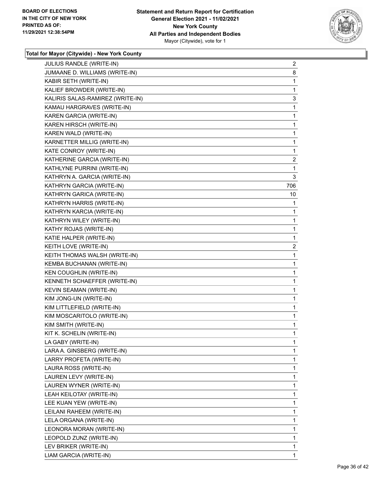

| JULIUS RANDLE (WRITE-IN)         | $\overline{2}$ |
|----------------------------------|----------------|
| JUMAANE D. WILLIAMS (WRITE-IN)   | 8              |
| KABIR SETH (WRITE-IN)            | 1              |
| KALIEF BROWDER (WRITE-IN)        | 1              |
| KALIRIS SALAS-RAMIREZ (WRITE-IN) | 3              |
| KAMAU HARGRAVES (WRITE-IN)       | 1              |
| KAREN GARCIA (WRITE-IN)          | $\mathbf{1}$   |
| KAREN HIRSCH (WRITE-IN)          | 1              |
| KAREN WALD (WRITE-IN)            | 1              |
| KARNETTER MILLIG (WRITE-IN)      | $\mathbf{1}$   |
| KATE CONROY (WRITE-IN)           | 1              |
| KATHERINE GARCIA (WRITE-IN)      | 2              |
| KATHLYNE PURRINI (WRITE-IN)      | 1              |
| KATHRYN A. GARCIA (WRITE-IN)     | 3              |
| KATHRYN GARCIA (WRITE-IN)        | 706.           |
| KATHRYN GARICA (WRITE-IN)        | 10             |
| KATHRYN HARRIS (WRITE-IN)        | 1              |
| KATHRYN KARCIA (WRITE-IN)        | 1              |
| KATHRYN WILEY (WRITE-IN)         | $\mathbf{1}$   |
| KATHY ROJAS (WRITE-IN)           | 1              |
| KATIE HALPER (WRITE-IN)          | 1              |
| KEITH LOVE (WRITE-IN)            | $\overline{c}$ |
| KEITH THOMAS WALSH (WRITE-IN)    | 1              |
| KEMBA BUCHANAN (WRITE-IN)        | 1              |
| <b>KEN COUGHLIN (WRITE-IN)</b>   | $\mathbf{1}$   |
| KENNETH SCHAEFFER (WRITE-IN)     | 1              |
| KEVIN SEAMAN (WRITE-IN)          | 1              |
| KIM JONG-UN (WRITE-IN)           | 1              |
| KIM LITTLEFIELD (WRITE-IN)       | 1              |
| KIM MOSCARITOLO (WRITE-IN)       | 1              |
| KIM SMITH (WRITE-IN)             | 1              |
| KIT K. SCHELIN (WRITE-IN)        | 1              |
| LA GABY (WRITE-IN)               | 1              |
| LARA A. GINSBERG (WRITE-IN)      | 1              |
| LARRY PROFETA (WRITE-IN)         | 1              |
| LAURA ROSS (WRITE-IN)            | 1              |
| LAUREN LEVY (WRITE-IN)           | 1              |
| LAUREN WYNER (WRITE-IN)          | 1              |
| LEAH KEILOTAY (WRITE-IN)         | 1              |
| LEE KUAN YEW (WRITE-IN)          | 1              |
| LEILANI RAHEEM (WRITE-IN)        | 1              |
| LELA ORGANA (WRITE-IN)           | 1              |
| LEONORA MORAN (WRITE-IN)         | 1              |
| LEOPOLD ZUNZ (WRITE-IN)          | 1              |
| LEV BRIKER (WRITE-IN)            | 1              |
| LIAM GARCIA (WRITE-IN)           | 1              |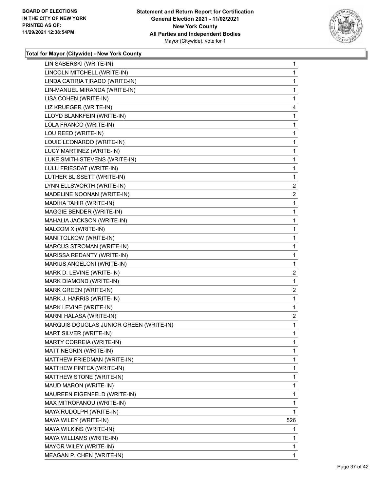

| LIN SABERSKI (WRITE-IN)                 | $\mathbf{1}$   |
|-----------------------------------------|----------------|
| LINCOLN MITCHELL (WRITE-IN)             | 1              |
| LINDA CATIRIA TIRADO (WRITE-IN)         | 1              |
| LIN-MANUEL MIRANDA (WRITE-IN)           | 1              |
| LISA COHEN (WRITE-IN)                   | 1              |
| LIZ KRUEGER (WRITE-IN)                  | 4              |
| LLOYD BLANKFEIN (WRITE-IN)              | 1              |
| LOLA FRANCO (WRITE-IN)                  | 1              |
| LOU REED (WRITE-IN)                     | 1              |
| LOUIE LEONARDO (WRITE-IN)               | 1              |
| LUCY MARTINEZ (WRITE-IN)                | 1              |
| LUKE SMITH-STEVENS (WRITE-IN)           | 1              |
| LULU FRIESDAT (WRITE-IN)                | 1              |
| LUTHER BLISSETT (WRITE-IN)              | 1              |
| LYNN ELLSWORTH (WRITE-IN)               | $\overline{2}$ |
| MADELINE NOONAN (WRITE-IN)              | $\overline{2}$ |
| MADIHA TAHIR (WRITE-IN)                 | 1              |
| MAGGIE BENDER (WRITE-IN)                | 1              |
| MAHALIA JACKSON (WRITE-IN)              | 1              |
| MALCOM X (WRITE-IN)                     | 1              |
| MANI TOLKOW (WRITE-IN)                  | 1              |
| MARCUS STROMAN (WRITE-IN)               | 1              |
| MARISSA REDANTY (WRITE-IN)              | 1              |
| MARIUS ANGELONI (WRITE-IN)              | 1              |
| MARK D. LEVINE (WRITE-IN)               | $\overline{a}$ |
| MARK DIAMOND (WRITE-IN)                 | 1              |
| MARK GREEN (WRITE-IN)                   | 2              |
| MARK J. HARRIS (WRITE-IN)               | 1              |
| MARK LEVINE (WRITE-IN)                  | 1              |
| MARNI HALASA (WRITE-IN)                 | $\overline{a}$ |
| MARQUIS DOUGLAS JUNIOR GREEN (WRITE-IN) | 1              |
| MART SILVER (WRITE-IN)                  | 1              |
| MARTY CORREIA (WRITE-IN)                | 1              |
| MATT NEGRIN (WRITE-IN)                  | 1              |
| MATTHEW FRIEDMAN (WRITE-IN)             | 1              |
| MATTHEW PINTEA (WRITE-IN)               | 1              |
| MATTHEW STONE (WRITE-IN)                | 1              |
| MAUD MARON (WRITE-IN)                   | 1              |
| MAUREEN EIGENFELD (WRITE-IN)            | 1              |
| MAX MITROFANOU (WRITE-IN)               | 1              |
| MAYA RUDOLPH (WRITE-IN)                 | 1              |
| MAYA WILEY (WRITE-IN)                   | 526            |
| MAYA WILKINS (WRITE-IN)                 | 1              |
| MAYA WILLIAMS (WRITE-IN)                | 1              |
| MAYOR WILEY (WRITE-IN)                  | 1              |
| MEAGAN P. CHEN (WRITE-IN)               | 1.             |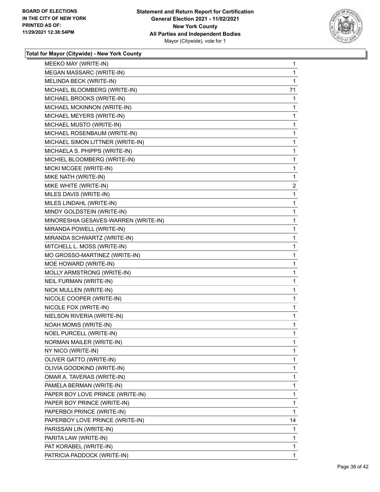

| MEEKO MAY (WRITE-IN)                 | 1  |
|--------------------------------------|----|
| MEGAN MASSARC (WRITE-IN)             | 1  |
| MELINDA BECK (WRITE-IN)              | 1  |
| MICHAEL BLOOMBERG (WRITE-IN)         | 71 |
| MICHAEL BROOKS (WRITE-IN)            | 1  |
| MICHAEL MCKINNON (WRITE-IN)          | 1  |
| MICHAEL MEYERS (WRITE-IN)            | 1  |
| MICHAEL MUSTO (WRITE-IN)             | 1  |
| MICHAEL ROSENBAUM (WRITE-IN)         | 1  |
| MICHAEL SIMON LITTNER (WRITE-IN)     | 1  |
| MICHAELA S. PHIPPS (WRITE-IN)        | 1  |
| MICHIEL BLOOMBERG (WRITE-IN)         | 1  |
| MICKI MCGEE (WRITE-IN)               | 1  |
| MIKE NATH (WRITE-IN)                 | 1  |
| MIKE WHITE (WRITE-IN)                | 2  |
| MILES DAVIS (WRITE-IN)               | 1  |
| MILES LINDAHL (WRITE-IN)             | 1  |
| MINDY GOLDSTEIN (WRITE-IN)           | 1  |
| MINORESHIA GESAVES-WARREN (WRITE-IN) | 1  |
| MIRANDA POWELL (WRITE-IN)            | 1  |
| MIRANDA SCHWARTZ (WRITE-IN)          | 1  |
| MITCHELL L. MOSS (WRITE-IN)          | 1  |
| MO GROSSO-MARTINEZ (WRITE-IN)        | 1  |
| MOE HOWARD (WRITE-IN)                | 1  |
| MOLLY ARMSTRONG (WRITE-IN)           | 1  |
| NEIL FURMAN (WRITE-IN)               | 1  |
| NICK MULLEN (WRITE-IN)               | 1  |
| NICOLE COOPER (WRITE-IN)             | 1  |
| NICOLE FOX (WRITE-IN)                | 1  |
| NIELSON RIVERIA (WRITE-IN)           | 1  |
| <b>NOAH MOMIS (WRITE-IN)</b>         | 1  |
| NOEL PURCELL (WRITE-IN)              | 1  |
| NORMAN MAILER (WRITE-IN)             | 1  |
| NY NICO (WRITE-IN)                   | 1  |
| OLIVER GATTO (WRITE-IN)              | 1  |
| OLIVIA GOODKIND (WRITE-IN)           | 1  |
| OMAR A. TAVERAS (WRITE-IN)           | 1  |
| PAMELA BERMAN (WRITE-IN)             | 1  |
| PAPER BOY LOVE PRINCE (WRITE-IN)     | 1  |
| PAPER BOY PRINCE (WRITE-IN)          | 1  |
| PAPERBOI PRINCE (WRITE-IN)           | 1  |
| PAPERBOY LOVE PRINCE (WRITE-IN)      | 14 |
| PARISSAN LIN (WRITE-IN)              | 1  |
| PARITA LAW (WRITE-IN)                | 1  |
| PAT KORABEL (WRITE-IN)               | 1  |
| PATRICIA PADDOCK (WRITE-IN)          | 1  |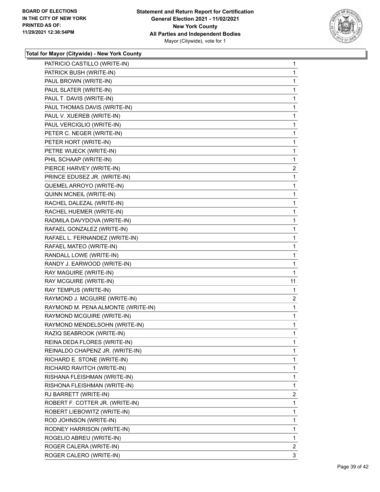

| PATRICIO CASTILLO (WRITE-IN)       | $\mathbf 1$           |
|------------------------------------|-----------------------|
| PATRICK BUSH (WRITE-IN)            | 1                     |
| PAUL BROWN (WRITE-IN)              | 1                     |
| PAUL SLATER (WRITE-IN)             | 1                     |
| PAUL T. DAVIS (WRITE-IN)           | 1                     |
| PAUL THOMAS DAVIS (WRITE-IN)       | 1                     |
| PAUL V. XUEREB (WRITE-IN)          | 1                     |
| PAUL VERCIGLIO (WRITE-IN)          | 1                     |
| PETER C. NEGER (WRITE-IN)          | 1                     |
| PETER HORT (WRITE-IN)              | 1                     |
| PETRE WIJECK (WRITE-IN)            | 1                     |
| PHIL SCHAAP (WRITE-IN)             | 1                     |
| PIERCE HARVEY (WRITE-IN)           | 2                     |
| PRINCE EDUSEZ JR. (WRITE-IN)       | 1                     |
| QUEMEL ARROYO (WRITE-IN)           | 1                     |
| QUINN MCNEIL (WRITE-IN)            | 1                     |
| RACHEL DALEZAL (WRITE-IN)          | 1                     |
| RACHEL HUEMER (WRITE-IN)           | 1                     |
| RADMILA DAVYDOVA (WRITE-IN)        | 1                     |
| RAFAEL GONZALEZ (WRITE-IN)         | 1                     |
| RAFAEL L. FERNANDEZ (WRITE-IN)     | 1                     |
| RAFAEL MATEO (WRITE-IN)            | 1                     |
| RANDALL LOWE (WRITE-IN)            | 1                     |
| RANDY J. EARWOOD (WRITE-IN)        | 1                     |
| RAY MAGUIRE (WRITE-IN)             | 1                     |
| RAY MCGUIRE (WRITE-IN)             | 11                    |
| RAY TEMPUS (WRITE-IN)              | 1                     |
| RAYMOND J. MCGUIRE (WRITE-IN)      | $\overline{2}$        |
| RAYMOND M. PENA ALMONTE (WRITE-IN) | 1                     |
| RAYMOND MCGUIRE (WRITE-IN)         | 1                     |
| RAYMOND MENDELSOHN (WRITE-IN)      | 1                     |
| RAZIQ SEABROOK (WRITE-IN)          | 1                     |
| REINA DEDA FLORES (WRITE-IN)       | 1                     |
| REINALDO CHAPENZ JR. (WRITE-IN)    | $\mathbf{1}$          |
| RICHARD E. STONE (WRITE-IN)        | 1                     |
| RICHARD RAVITCH (WRITE-IN)         | 1                     |
| RISHANA FLEISHMAN (WRITE-IN)       | 1                     |
| RISHONA FLEISHMAN (WRITE-IN)       | 1                     |
| RJ BARRETT (WRITE-IN)              | 2                     |
| ROBERT F. COTTER JR. (WRITE-IN)    | 1                     |
| ROBERT LIEBOWITZ (WRITE-IN)        | 1                     |
| ROD JOHNSON (WRITE-IN)             | 1                     |
| RODNEY HARRISON (WRITE-IN)         | 1                     |
| ROGELIO ABREU (WRITE-IN)           | 1                     |
| ROGER CALERA (WRITE-IN)            | $\mathbf{2}^{\prime}$ |
| ROGER CALERO (WRITE-IN)            | 3                     |
|                                    |                       |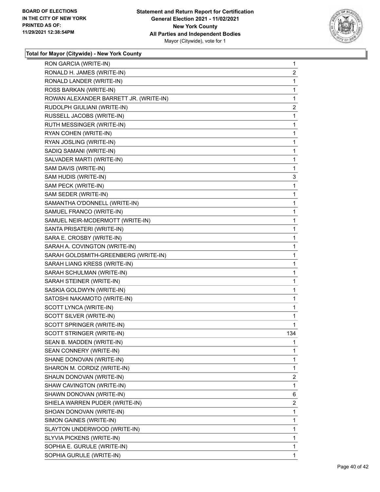

| RON GARCIA (WRITE-IN)                  | $\mathbf{1}$   |
|----------------------------------------|----------------|
| RONALD H. JAMES (WRITE-IN)             | 2              |
| RONALD LANDER (WRITE-IN)               | 1              |
| ROSS BARKAN (WRITE-IN)                 | 1              |
| ROWAN ALEXANDER BARRETT JR. (WRITE-IN) | 1              |
| RUDOLPH GIULIANI (WRITE-IN)            | 2              |
| RUSSELL JACOBS (WRITE-IN)              | 1              |
| RUTH MESSINGER (WRITE-IN)              | 1              |
| RYAN COHEN (WRITE-IN)                  | 1              |
| RYAN JOSLING (WRITE-IN)                | 1              |
| SADIQ SAMANI (WRITE-IN)                | 1              |
| SALVADER MARTI (WRITE-IN)              | 1              |
| SAM DAVIS (WRITE-IN)                   | 1              |
| SAM HUDIS (WRITE-IN)                   | 3              |
| SAM PECK (WRITE-IN)                    | 1              |
| SAM SEDER (WRITE-IN)                   | 1              |
| SAMANTHA O'DONNELL (WRITE-IN)          | 1              |
| SAMUEL FRANCO (WRITE-IN)               | 1              |
| SAMUEL NEIR-MCDERMOTT (WRITE-IN)       | 1              |
| SANTA PRISATERI (WRITE-IN)             | 1              |
| SARA E. CROSBY (WRITE-IN)              | 1              |
| SARAH A. COVINGTON (WRITE-IN)          | 1              |
| SARAH GOLDSMITH-GREENBERG (WRITE-IN)   | 1              |
| SARAH LIANG KRESS (WRITE-IN)           | 1              |
| SARAH SCHULMAN (WRITE-IN)              | 1              |
| SARAH STEINER (WRITE-IN)               | 1              |
| SASKIA GOLDWYN (WRITE-IN)              | 1              |
| SATOSHI NAKAMOTO (WRITE-IN)            | 1              |
| SCOTT LYNCA (WRITE-IN)                 | 1              |
| SCOTT SILVER (WRITE-IN)                | 1              |
| SCOTT SPRINGER (WRITE-IN)              | 1              |
| SCOTT STRINGER (WRITE-IN)              | 134            |
| SEAN B. MADDEN (WRITE-IN)              | 1              |
| SEAN CONNERY (WRITE-IN)                | 1              |
| SHANE DONOVAN (WRITE-IN)               | 1              |
| SHARON M. CORDIZ (WRITE-IN)            | 1              |
| SHAUN DONOVAN (WRITE-IN)               | 2              |
| SHAW CAVINGTON (WRITE-IN)              | 1              |
| SHAWN DONOVAN (WRITE-IN)               | 6              |
| SHIELA WARREN PUDER (WRITE-IN)         | $\overline{2}$ |
| SHOAN DONOVAN (WRITE-IN)               | 1              |
| SIMON GAINES (WRITE-IN)                | 1              |
| SLAYTON UNDERWOOD (WRITE-IN)           | 1              |
| SLYVIA PICKENS (WRITE-IN)              | 1              |
| SOPHIA E. GURULE (WRITE-IN)            | 1              |
| SOPHIA GURULE (WRITE-IN)               | 1              |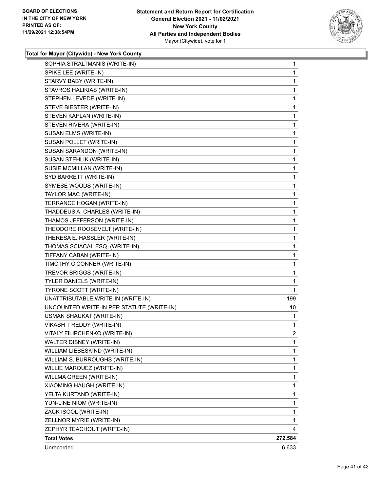

| SOPHIA STRALTMANIS (WRITE-IN)             | $\mathbf{1}$   |
|-------------------------------------------|----------------|
| SPIKE LEE (WRITE-IN)                      | $\mathbf{1}$   |
| STARVY BABY (WRITE-IN)                    | 1              |
| STAVROS HALIKIAS (WRITE-IN)               | $\mathbf{1}$   |
| STEPHEN LEVEDE (WRITE-IN)                 | 1              |
| STEVE BIESTER (WRITE-IN)                  | 1              |
| STEVEN KAPLAN (WRITE-IN)                  | 1              |
| STEVEN RIVERA (WRITE-IN)                  | 1              |
| SUSAN ELMS (WRITE-IN)                     | 1              |
| SUSAN POLLET (WRITE-IN)                   | $\mathbf{1}$   |
| SUSAN SARANDON (WRITE-IN)                 | 1              |
| SUSAN STEHLIK (WRITE-IN)                  | 1              |
| SUSIE MCMILLAN (WRITE-IN)                 | 1              |
| SYD BARRETT (WRITE-IN)                    | 1              |
| SYMESE WOODS (WRITE-IN)                   | 1              |
| TAYLOR MAC (WRITE-IN)                     | $\mathbf{1}$   |
| TERRANCE HOGAN (WRITE-IN)                 | 1              |
| THADDEUS A. CHARLES (WRITE-IN)            | 1              |
| THAMOS JEFFERSON (WRITE-IN)               | $\mathbf{1}$   |
| THEODORE ROOSEVELT (WRITE-IN)             | 1              |
| THERESA E. HASSLER (WRITE-IN)             | 1              |
| THOMAS SCIACAI, ESQ. (WRITE-IN)           | $\mathbf{1}$   |
| TIFFANY CABAN (WRITE-IN)                  | 1              |
| TIMOTHY O'CONNER (WRITE-IN)               | 1              |
| TREVOR BRIGGS (WRITE-IN)                  | 1              |
| TYLER DANIELS (WRITE-IN)                  | 1              |
| TYRONE SCOTT (WRITE-IN)                   | 1              |
| UNATTRIBUTABLE WRITE-IN (WRITE-IN)        | 199            |
| UNCOUNTED WRITE-IN PER STATUTE (WRITE-IN) | 10             |
| <b>USMAN SHAUKAT (WRITE-IN)</b>           | 1              |
| VIKASH T REDDY (WRITE-IN)                 | 1              |
| VITALY FILIPCHENKO (WRITE-IN)             | $\overline{2}$ |
| WALTER DISNEY (WRITE-IN)                  | 1              |
| WILLIAM LIEBESKIND (WRITE-IN)             | 1              |
| WILLIAM S. BURROUGHS (WRITE-IN)           | 1              |
| WILLIE MARQUEZ (WRITE-IN)                 | 1              |
| WILLMA GREEN (WRITE-IN)                   | 1              |
| XIAOMING HAUGH (WRITE-IN)                 | 1              |
| YELTA KURTAND (WRITE-IN)                  | 1              |
| YUN-LINE NIOM (WRITE-IN)                  | 1              |
| ZACK ISOOL (WRITE-IN)                     | 1              |
| ZELLNOR MYRIE (WRITE-IN)                  | 1              |
| ZEPHYR TEACHOUT (WRITE-IN)                | 4              |
| <b>Total Votes</b>                        | 272,584        |
| Unrecorded                                | 6,633          |
|                                           |                |